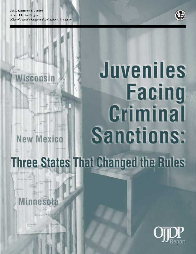

# Juveniles **Facing** Criminal Sanctions: **New Mexico Three States That Changed the Rules**

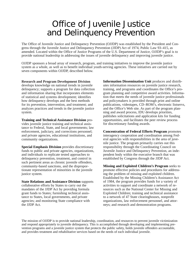## Office of Juvenile Justice and Delinquency Prevention

The Office of Juvenile Justice and Delinquency Prevention (OJJDP) was established by the President and Congress through the Juvenile Justice and Delinquency Prevention (JJDP) Act of 1974, Public Law 93–415, as amended. Located within the Office of Justice Programs of the U.S. Department of Justice, OJJDP's goal is to provide national leadership in addressing the issues of juvenile delinquency and improving juvenile justice.

OJJDP sponsors a broad array of research, program, and training initiatives to improve the juvenile justice system as a whole, as well as to benefit individual youth-serving agencies. These initiatives are carried out by seven components within OJJDP, described below.

**Research and Program Development Division** develops knowledge on national trends in juvenile delinquency; supports a program for data collection and information sharing that incorporates elements of statistical and systems development; identifies how delinquency develops and the best methods for its prevention, intervention, and treatment; and analyzes practices and trends in the juvenile justice system.

**Training and Technical Assistance Division** provides juvenile justice training and technical assistance to Federal, State, and local governments; law enforcement, judiciary, and corrections personnel; and private agencies, educational institutions, and community organizations.

**Special Emphasis Division** provides discretionary funds to public and private agencies, organizations, and individuals to replicate tested approaches to delinquency prevention, treatment, and control in such pertinent areas as chronic juvenile offenders, community-based sanctions, and the disproportionate representation of minorities in the juvenile justice system.

**State Relations and Assistance Division** supports collaborative efforts by States to carry out the mandates of the JJDP Act by providing formula grant funds to States; furnishing technical assistance to States, local governments, and private agencies; and monitoring State compliance with the JJDP Act.

**Information Dissemination Unit** produces and distributes information resources on juvenile justice research, training, and programs and coordinates the Office's program planning and competitive award activities. Information that meets the needs of juvenile justice professionals and policymakers is provided through print and online publications, videotapes, CD–ROM's, electronic listservs, and the Office's Web site. As part of the program planning and award process, IDU develops priorities, publishes solicitations and application kits for funding opportunities, and facilitates the peer review process for discretionary funding awards.

**Concentration of Federal Efforts Program** promotes interagency cooperation and coordination among Federal agencies with responsibilities in the area of juvenile justice. The program primarily carries out this responsibility through the Coordinating Council on Juvenile Justice and Delinquency Prevention, an independent body within the executive branch that was established by Congress through the JJDP Act.

**Missing and Exploited Children's Program** seeks to promote effective policies and procedures for addressing the problem of missing and exploited children. Established by the Missing Children's Assistance Act of 1984, the program provides funds for a variety of activities to support and coordinate a network of resources such as the National Center for Missing and Exploited Children; training and technical assistance to a network of 47 State clearinghouses, nonprofit organizations, law enforcement personnel, and attorneys; and research and demonstration programs.

The mission of OJJDP is to provide national leadership, coordination, and resources to prevent juvenile victimization and respond appropriately to juvenile delinquency. This is accomplished through developing and implementing prevention programs and a juvenile justice system that protects the public safety, holds juvenile offenders accountable, and provides treatment and rehabilitative services based on the needs of each individual juvenile.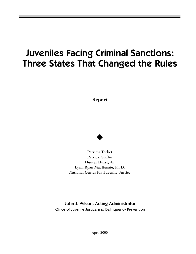## Juveniles Facing Criminal Sanctions: Three States That Changed the Rules

**Report**



**Patricia Torbet Patrick Griffin Hunter Hurst, Jr. Lynn Ryan MacKenzie, Ph.D. National Center for Juvenile Justice**

John J. Wilson, Acting Administrator Office of Juvenile Justice and Delinquency Prevention

April 2000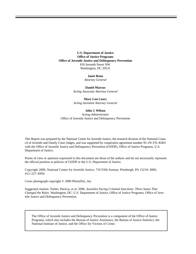**U.S. Department of Justice Office of Justice Programs Office of Juvenile Justice and Delinquency Prevention** 810 Seventh Street NW. Washington, DC 20531

#### **Janet Reno**

*Attorney General*

**Daniel Marcus** *Acting Associate Attorney General*

**Mary Lou Leary** *Acting Assistant Attorney General*

#### **John J. Wilson**

*Acting Administrator* Office of Juvenile Justice and Delinquency Prevention

This Report was prepared by the National Center for Juvenile Justice, the research division of the National Council of Juvenile and Family Court Judges, and was supported by cooperative agreement number 95–JN–FX–K003 with the Office of Juvenile Justice and Delinquency Prevention (OJJDP), Office of Justice Programs, U.S. Department of Justice.

Points of view or opinions expressed in this document are those of the authors and do not necessarily represent the official position or policies of OJJDP or the U.S. Department of Justice.

Copyright 2000, National Center for Juvenile Justice, 710 Fifth Avenue, Pittsburgh, PA 15219–3000, 412–227–6950.

Cover photograph copyright © 2000 PhotoDisc, Inc.

Suggested citation: Torbet, Patricia, et al. 2000. *Juveniles Facing Criminal Sanctions: Three States That Changed the Rules.* Washington, DC: U.S. Department of Justice, Office of Justice Programs, Office of Juvenile Justice and Delinquency Prevention.

The Office of Juvenile Justice and Delinquency Prevention is a component of the Office of Justice Programs, which also includes the Bureau of Justice Assistance, the Bureau of Justice Statistics, the National Institute of Justice, and the Office for Victims of Crime.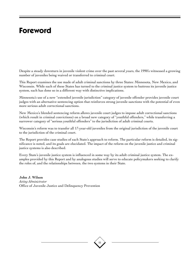## **Foreword**

Despite a steady downturn in juvenile violent crime over the past several years, the 1990's witnessed a growing number of juveniles being waived or transferred to criminal court.

This Report examines the use made of adult criminal sanctions by three States: Minnesota, New Mexico, and Wisconsin. While each of these States has turned to the criminal justice system to buttress its juvenile justice system, each has done so in a different way with distinctive implications.

Minnesota's use of a new "extended juvenile jurisdiction" category of juvenile offender provides juvenile court judges with an alternative sentencing option that reinforces strong juvenile sanctions with the potential of even more serious adult correctional sanctions.

New Mexico's blended sentencing reform allows juvenile court judges to impose adult correctional sanctions (which result in criminal convictions) on a broad new category of "youthful offenders," while transferring a narrower category of "serious youthful offenders" to the jurisdiction of adult criminal courts.

Wisconsin's reform was to transfer all 17-year-old juveniles from the original jurisdiction of the juvenile court to the jurisdiction of the criminal court.

The Report provides case studies of each State's approach to reform. The particular reform is detailed, its significance is noted, and its goals are elucidated. The impact of the reform on the juvenile justice and criminal justice systems is also described.

Every State's juvenile justice system is influenced in some way by its adult criminal justice system. The examples provided by this Report and by analogous studies will serve to educate policymakers seeking to clarify the roles of, and the relationships between, the two systems in their State.

**John J. Wilson** *Acting Administrator* Office of Juvenile Justice and Delinquency Prevention

iii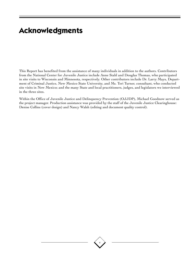## **Acknowledgments**

This Report has benefited from the assistance of many individuals in addition to the authors. Contributors from the National Center for Juvenile Justice include Anne Stahl and Douglas Thomas, who participated in site visits to Wisconsin and Minnesota, respectively. Other contributors include Dr. Larry Mays, Department of Criminal Justice, New Mexico State University, and Ms. Teri Turner, consultant, who conducted site visits in New Mexico; and the many State and local practitioners, judges, and legislators we interviewed in the three sites.

Within the Office of Juvenile Justice and Delinquency Prevention (OJJDP), Michael Goodnow served as the project manager. Production assistance was provided by the staff of the Juvenile Justice Clearinghouse: Denise Collins (cover design) and Nancy Walsh (editing and document quality control).

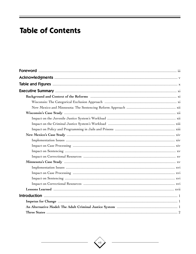## **Table of Contents**

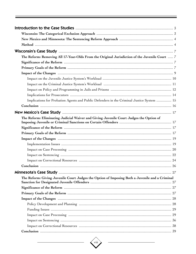| The Reform: Removing All 17-Year-Olds From the Original Jurisdiction of the Juvenile Court  7  |  |
|------------------------------------------------------------------------------------------------|--|
|                                                                                                |  |
|                                                                                                |  |
|                                                                                                |  |
|                                                                                                |  |
|                                                                                                |  |
|                                                                                                |  |
|                                                                                                |  |
| Implications for Probation Agents and Public Defenders in the Criminal Justice System  15      |  |
|                                                                                                |  |
|                                                                                                |  |
| The Reform: Eliminating Judicial Waiver and Giving Juvenile Court Judges the Option of         |  |
|                                                                                                |  |
|                                                                                                |  |
|                                                                                                |  |
|                                                                                                |  |
|                                                                                                |  |
|                                                                                                |  |
|                                                                                                |  |
|                                                                                                |  |
|                                                                                                |  |
| The Reform: Giving Juvenile Court Judges the Option of Imposing Both a Juvenile and a Criminal |  |
|                                                                                                |  |
|                                                                                                |  |
|                                                                                                |  |
|                                                                                                |  |
|                                                                                                |  |
|                                                                                                |  |
|                                                                                                |  |
|                                                                                                |  |
|                                                                                                |  |
|                                                                                                |  |

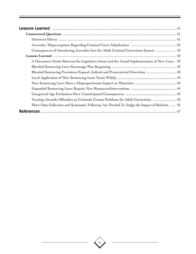| Consequences of Introducing Juveniles Into the Adult Criminal Corrections System  42              |  |
|---------------------------------------------------------------------------------------------------|--|
|                                                                                                   |  |
| A Disconnect Exists Between the Legislative Intent and the Actual Implementation of New Laws . 42 |  |
|                                                                                                   |  |
| Blended Sentencing Provisions Expand Judicial and Prosecutorial Discretion  43                    |  |
|                                                                                                   |  |
|                                                                                                   |  |
|                                                                                                   |  |
|                                                                                                   |  |
| Treating Juvenile Offenders as Criminals Creates Problems for Adult Corrections  45               |  |
| More Data Collection and Systematic Followup Are Needed To Judge the Impact of Reforms  45        |  |
|                                                                                                   |  |

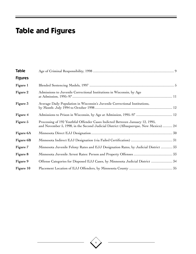## **Table and Figures**

| Table          |                                                                                                                                                                     |  |
|----------------|---------------------------------------------------------------------------------------------------------------------------------------------------------------------|--|
| <b>Figures</b> |                                                                                                                                                                     |  |
| Figure 1       |                                                                                                                                                                     |  |
| Figure 2       | Admissions to Juvenile Correctional Institutions in Wisconsin, by Age                                                                                               |  |
| Figure 3       | Average Daily Population in Wisconsin's Juvenile Correctional Institutions,                                                                                         |  |
| Figure 4       |                                                                                                                                                                     |  |
| Figure 5       | Processing of 192 Youthful Offender Cases Indicted Between January 12, 1995,<br>and November 5, 1998, in the Second Judicial District (Albuquerque, New Mexico)  24 |  |
| Figure 6A      |                                                                                                                                                                     |  |
| Figure 6B      |                                                                                                                                                                     |  |
| Figure 7       | Minnesota Juvenile Felony Rates and EJJ Designation Rates, by Judicial District  33                                                                                 |  |
| Figure 8       |                                                                                                                                                                     |  |
| Figure 9       | Offense Categories for Disposed EJJ Cases, by Minnesota Judicial District  34                                                                                       |  |
| Figure 10      |                                                                                                                                                                     |  |

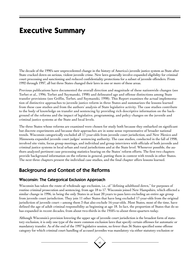## **Executive Summary**

The decade of the 1990's saw unprecedented change in the history of America's juvenile justice system as State after State cracked down on serious, violent juvenile crime. New laws generally involve expanded eligibility for criminal court processing and sanctioning and reduced confidentiality protections for a subset of juvenile offenders. From 1992 through 1997, all but three States changed their laws in one or more of these areas.

Previous publications have documented the overall direction and magnitude of these nationwide changes (see Torbet et al., 1996; Torbet and Szymanski, 1998) and delineated age and offense distinctions among State transfer provisions (see Griffin, Torbet, and Szymanski, 1998). This Report examines the actual implementation of distinctive approaches to juvenile justice reform in three States and summarizes the lessons learned from these case studies and from the authors' analysis of State legislative activity. The case studies contribute to the body of knowledge on transfer and sentencing by providing rich descriptive information on the background of the reforms and the impact of legislative, programming, and policy changes on the juvenile and criminal justice systems at the State and local levels.

The three States whose reforms are examined were chosen for study both because they embarked on significant but discrete experiments and because their approaches are in some sense representative of broader national trends. Wisconsin categorically excluded all 17-year-olds from juvenile court jurisdiction, and New Mexico and Minnesota expanded juvenile court judges' sentencing authority. The case studies, conducted in the fall of 1998, involved site visits, focus group meetings, and individual and group interviews with officials of both juvenile and criminal justice systems in local urban and rural jurisdictions and at the State level. Whenever possible, the authors analyzed pertinent case processing statistics bearing on the States' reform efforts. The first two chapters provide background information on the reforms in general, putting them in context with trends in other States. The next three chapters present the individual case studies, and the final chapter offers lessons learned.

## Background and Context of the Reforms

### Wisconsin: The Categorical Exclusion Approach

Wisconsin has taken the route of wholesale age exclusion, i.e., of "defining adulthood down," for purposes of routine criminal prosecution and sentencing, from age 18 to 17. Wisconsin joined New Hampshire, which effected a similar change in 1996, in being the only States in at least 20 years to pass laws excluding an entire age group from juvenile court jurisdiction. They join 11 other States that have long excluded 17-year-olds from the original jurisdiction of juvenile court—among them 3 that also exclude 16-year-olds. Most States, most of the time, have defined the age of adult criminal responsibility as beginning at age 18. In fact, the proportion of States that do so has expanded in recent decades, from about two-thirds in the 1950's to about three-quarters today.

Although Wisconsin's provision lowering the upper age of juvenile court jurisdiction is the broadest form of statutory exclusion, it is only one type of the more common exclusion laws that specify certain offenses for automatic or mandatory transfer. As of the end of the 1997 legislative session, no fewer than 36 States specified some offense category for which criminal court handling of accused juveniles was mandatory via either statutory exclusion or

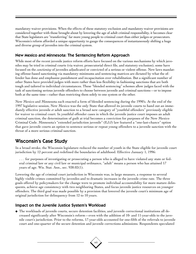mandatory waiver provisions. When the effects of these statutory exclusion and mandatory waiver provisions are considered together with those brought about by lowering the age of adult criminal responsibility, it becomes clear that State legislators are "transferring" far more young people to criminal court than either judges or prosecutors. Wisconsin's reform afforded a unique opportunity to gauge the consequences of instantaneously shifting a huge and diverse group of juveniles into the criminal system.

#### New Mexico and Minnesota: The Sentencing Reform Approach

While most of the recent juvenile justice reform efforts have focused on the various mechanisms by which juveniles may be tried in criminal courts (via waiver, prosecutorial direct file, and statutory exclusion), some have focused on the *sanctioning* of juveniles adjudicated or convicted of a serious or violent offense. New laws mandating offense-based sanctioning via mandatory minimums and sentencing matrices are dictated by what the offender has done and emphasize punishment and incapacitation over rehabilitation. But a significant number of other States have provided judges with more rather than less flexibility in fashioning sanctions that are both tough and tailored to individual circumstances. These "blended sentencing" schemes allow judges faced with the task of sanctioning serious juvenile offenders to choose between juvenile and criminal sanctions—or to impose both at the same time—rather than restricting them solely to one system or the other.

New Mexico and Minnesota each enacted a form of blended sentencing during the 1990's. At the end of the 1997 legislative session, New Mexico was the only State that allowed its juvenile courts to hand out an immediately effective juvenile *or* adult sanction to a broad new category of "youthful offenders" previously eligible for waiver to criminal court. In youthful offender cases in which the juvenile justice court imposes an adult criminal sanction, the determination of guilt at trial becomes a conviction for purposes of the New Mexico Criminal Code. Minnesota's "extended jurisdiction juvenile" (EJJ) law featured a "one-last-chance" option that gave juvenile courts an option to sentence serious or repeat young offenders to a juvenile sanction with the threat of a more serious criminal sanction.

## Wisconsin's Case Study

In a broad stroke, the Wisconsin legislature reduced the number of youth in the State eligible for juvenile court jurisdiction by 12 percent and redefined the boundaries of adulthood. Effective January 1, 1996:

. . . for purposes of investigating or prosecuting a person who is alleged to have violated any state or federal criminal law or any civil law or municipal ordinance, "adult" means a person who has attained 17 years of age. Wis. Stat. Ann., sec. 938.02(1).

Lowering the age of criminal court jurisdiction in Wisconsin was, in large measure, a response to several highly visible crimes committed by juveniles and to dramatic increases in the juvenile crime rate. The three goals offered by policymakers for the change were to promote individual accountability for more mature delinquents, achieve age consistency with two neighboring States, and focus juvenile justice resources on younger offenders. The third goal was made possible by a provision that lowered the juvenile court's minimum age of original jurisdiction for delinquency from 12 to 10 years.

#### Impact on the Juvenile Justice System's Workload

◆ The workloads of juvenile courts, secure detention facilities, and juvenile correctional institutions all decreased significantly after Wisconsin's reform—even with the addition of 10- and 11-year-olds to the juvenile court's jurisdiction. Prior to the reforms, 17-year-olds accounted for one-fifth of the referrals to juvenile court and one-quarter of the secure detention and juvenile corrections admissions. Respondents speculated

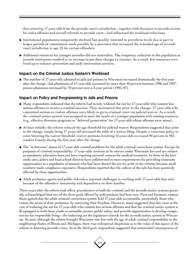that removing 17-year-olds from the juvenile court's jurisdiction—together with decreases in juvenile arrests for index offenses and overall referrals to juvenile court—had influenced the workload reductions.

- ◆ Institutional populations temporarily declined but quickly returned to prereform levels due in part to longer periods of commitment made possible by a provision that increased the extended age of juvenile court jurisdiction to age 25 for certain offenders.
- ◆ Additional resources for younger juveniles did not materialize. The temporary reduction in the population at juvenile institutions resulted in an increase in per diem charges to counties. As a result, few resources were freed up to enhance prevention and early intervention services.

#### Impact on the Criminal Justice System's Workload

◆ The number of 17-year-olds admitted to jails and prisons in Wisconsin increased dramatically the first year after the change. Jail admissions of 17-year-olds increased by more than 40 percent between 1996 and 1997; prison admissions increased by 70 percent over a 3-year period (1995–97).

#### Impact on Policy and Programming in Jails and Prisons

- ◆ Many respondents indicated that the reform had merely widened the net for 17-year-olds who commit less serious offenses to receive a criminal sanction. They maintained that prior to the change, 17-year-olds who committed serious or violent offenses were likely to go to criminal court via judicial waiver. As a result, the criminal justice system was strapped to meet the needs of a younger population with existing resources (e.g., effective diversion programs or "deferred prosecution" for 17-year-olds whose offenses were minor).
- ◆ At least initially, the reform reduced the age threshold for judicial waiver. Respondents suggested that prior to the change, simply being 17 years old increased the odds of a waiver filing. Despite a conscious policy to resist lowering the waiver threshold, waiver petitions involving 16-year-olds increased 90 percent in Milwaukee County during the first year after the change.
- ◆ The "in-between" status of 17-year-olds created problems for the adult criminal corrections system. Except for purposes of criminal responsibility, 17-year-olds continue to be minors under Wisconsin law and are subject to mandatory education laws and laws requiring parental consent for medical treatment. In three of the four study sites, jailers and local school districts have collaborated to meet requirements for providing classroom opportunities to a population of inmates who had been denied the service prior to the reforms because small numbers made compliance expensive. Respondents reported that the culture of the jails has been positively affected by these opportunities.
- ◆ Adult probation agents and public defenders reported challenges in working with 17-year-olds that arise because of the offenders' immaturity and dependence on their families.

Three years after the reform took effect, practitioners in both the criminal and the juvenile justice systems generally acknowledged that two of the three goals offered by policymakers had been met. First and foremost, respondents agreed that the adult criminal corrections system held 17-year-olds accountable, particularly those who violate the terms of their probation, by restricting their freedom. However, many suggested that this came at the cost of widening the net for 17-year-olds who commit less serious offenses and that the criminal justice system is ill equipped to hold these youth accountable, protect public safety, and provide opportunities to develop competencies for responsible living—the balancing act the legislature intends for the juvenile justice system in Wisconsin. Second, although the reform brought Wisconsin into line with the age of adult criminal responsibility in the neighboring States of Illinois and Michigan, there was widespread skepticism as to the value of this aspect of the reform in deterring juvenile crime. As to the third goal, respondents suggested that unintended consequences of

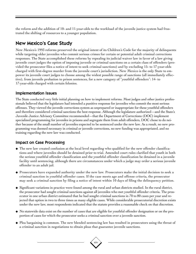the reform and the addition of 10- and 11-year-olds to the workload of the juvenile justice system had frustrated the shifting of resources to a younger population.

## New Mexico's Case Study

New Mexico's 1993 reforms preserved the original intent of its Children's Code for the majority of delinquents while targeting older juveniles who commit serious crimes for certain or potential adult criminal corrections responses. The State accomplished these reforms by repealing its judicial waiver law in favor of a law giving juvenile court judges the option of imposing juvenile or criminal sanctions on a certain class of offenders (provided the prosecutor files a notice of intent to seek criminal sanctions) and by excluding 15- to 17-year-olds charged with first-degree murder from the juvenile court's jurisdiction. New Mexico is the only State to empower its juvenile court judges to choose among the widest possible range of sanctions (all immediately effective), from juvenile probation to prison sentences, for a new category of "youthful offenders": 14- to 17-year-olds charged with certain felonies.

#### Implementation Issues

The State conducted very little initial planning on how to implement reforms. Most judges and other justice professionals believed that the legislature had intended a punitive response for juveniles who commit the most serious offenses. They viewed the juvenile corrections system as unprepared or inappropriate for these youthful offenders and therefore considered criminal sanctions the best response. Although the legislature authorized—and the State's Juvenile Justice Advisory Committee recommended—that the Department of Corrections (DOC) implement specialized programming for juveniles in prisons and segregate them from adult offenders, DOC chose to do neither because of the small number of juveniles expected to be sentenced under the new law. As a result, no new programming was deemed necessary in criminal or juvenile corrections, no new funding was appropriated, and no training regarding the new law was conducted.

#### Impact on Case Processing

- ◆ The new law created confusion at the local level regarding who qualified for the new offender classifications and where juveniles should be detained prior to trial. Amended court rules clarified that youth in both the serious youthful offender classification and the youthful offender classification be detained in a juvenile facility until sentencing, although there are circumstances under which a judge may order a serious juvenile offender to an adult jail.
- ◆ Prosecutors have expanded authority under the new law. Prosecutors make the initial decision to seek a criminal sanction in youthful offender cases. If the case meets age and offense criteria, the prosecutor may seek a criminal sanction by filing a notice of intent within 10 days of filing the delinquency petition.
- ◆ Significant variations in practice were found among the rural and urban districts studied. In the rural district, the prosecutor had sought criminal sanctions against all juveniles who met youthful offender criteria. The prosecutor in one urban district estimated that he had sought criminal sanctions in 70 to 80 cases per year and rejected that option in two to three times as many eligible cases. While considerable prosecutorial discretion exists under the new law, most respondents indicated that the statute provides a reasonable check on that discretion.
- ◆ No statewide data exist on the number of cases that are eligible for youthful offender designation or on the proportion of cases for which the prosecutor seeks a criminal sanction over a juvenile sanction.
- ◆ Plea bargaining is common. The new blended sentencing law has resulted in prosecutors using the threat of a criminal sanction in negotiations to obtain pleas that guarantee juvenile sanctions.

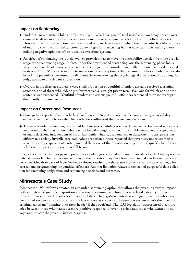#### Impact on Sentencing

- ◆ Under the new statute, Children's Court judges—who have general trial jurisdiction and may preside over criminal trials—can impose either a juvenile sanction or a criminal sanction in youthful offender cases. However, the criminal sanction can be imposed only in those cases in which the prosecutor has filed a notice of intent to seek the criminal sanction. Some judges felt hamstrung by that constraint, particularly those holding negative opinions of the juvenile corrections system.
- ◆ An effect of eliminating the judicial waiver provision was to move the amenability decision from the pretrial stage to the sentencing stage. In fact, under the new blended sentencing law, the sentencing phase looks very much like the old waiver process since the judge must consider essentially the same factors delineated in *Kent* v. *United States* for waiver determinations. The exception is that because guilt has already been established, the juvenile is permitted to talk about the crime during the psychological evaluation, thus giving the judge access to all relevant information.
- ◆ Overall, in the districts studied, a very small proportion of youthful offenders actually received a criminal sanction, and of those who did, only a few received a "straight prison term" (i.e., one for which none of the sentence was suspended). Youthful offenders and serious youthful offenders sentenced to prison were predominantly Hispanic males.

#### Impact on Correctional Resources

- ◆ Some judges reported that their lack of confidence in New Mexico's juvenile corrections system's ability to either protect the public or rehabilitate offenders influenced their sentencing decisions.
- ◆ The new blended sentencing law put added burdens on adult probation departments. Increased workloads and an unfamiliar client—one who may not be old enough to drive, find suitable employment, sign a lease, or make decisions independent of his or her family—had caused one urban department to assign certain officers to a strictly juvenile caseload. Adult probation officers reported that juveniles, unaccustomed to strict reporting requirements, often violated the terms of their probation or parole and quickly found themselves sent to prison to serve their full terms.

Five years after the law was passed, prosecutors and judges reported no sense of nostalgia for the State's previous judicial waiver law but rather satisfaction with the discretion they have been given to make individualized case decisions. One drawback of New Mexico's reforms results from the State's lack of a clear vision or strategy for correctional programming for youthful offenders. Another limitation relates to the lack of purposeful data collection for examining designation and sentencing decisions and outcomes.

## Minnesota's Case Study

Minnesota's 1994 reforms created an expanded sentencing option that allows the juvenile court to impose both an extended juvenile disposition and a stayed criminal sanction on a new legal category of juveniles referred to as extended jurisdiction juvenile (EJJ). The legislative intent was to give juveniles who have committed serious or repeat offenses one last chance at success in the juvenile system—with the threat of criminal sanctions "hanging over their heads" if they reoffend. The EJJ legislation represented a compromise between those who wanted a more punitive response to juvenile crime and those who wanted to salvage and bolster the juvenile justice response.

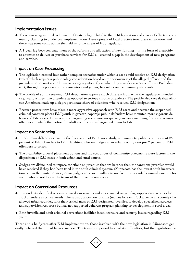#### Implementation Issues

- ◆ There was a lag in the development of State policy related to the EJJ legislation and a lack of effective community planning to guide local implementation. Development of local practice took place in isolation, and there was some confusion in the field as to the intent of EJJ legislation.
- $\blacklozenge$  A 1-year lag between enactment of the reforms and allocation of new funding—in the form of a subsidy to counties to deliver or purchase services for EJJ's—created a gap in the development of new programs and services.

#### Impact on Case Processing

- ◆ The legislation created four rather complex scenarios under which a case could receive an EJJ designation, two of which require a public safety consideration based on the seriousness of the alleged offense and the juvenile's prior court record. Districts vary significantly in what they consider a serious offense. Each district, through the policies of its prosecutors and judges, has set its own community standards.
- ◆ The profile of youth receiving EJJ designation appears much different from what the legislature intended (e.g., serious first-time offenders as opposed to serious chronic offenders). The profile also reveals that African Americans made up a disproportionate share of offenders who received EJJ designations.
- ◆ Because prosecutors have taken a more aggressive approach with EJJ cases and because the suspended criminal sanction places EJJ youth in greater jeopardy, public defenders have mounted more vigorous defenses of EJJ cases. However, plea bargaining is common—especially in cases involving first-time serious offenders in which the motion for adult certification is bargained down to EJJ.

#### Impact on Sentencing

- $\blacklozenge$  Rural/urban differences exist in the disposition of EJJ cases. Judges in nonmetropolitan counties sent 28 percent of EJJ offenders to DOC facilities, whereas judges in an urban county sent just 2 percent of EJJ offenders to prison.
- ◆ The availability of local placement options and the cost of out-of-community placements were factors in the disposition of EJJ cases in both urban and rural courts.
- ◆ Judges are disinclined to impose sanctions on juveniles that are harsher than the sanctions juveniles would have received if they had been tried in the adult criminal system. (Minnesota has the lowest adult incarceration rate in the United States.) Some judges are also unwilling to invoke the suspended criminal sanction for youth who do not follow the terms of their juvenile sentences.

### Impact on Correctional Resources

- ◆ Respondents identified access to clinical assessments and an expanded range of age-appropriate services for EJJ offenders as critical needs. The subsidy allocation formula (monies for each EJJ juvenile in a county) has allowed urban counties, with their critical mass of EJJ-designated juveniles, to develop specialized services and supervision resources but has not supported coherent program planning or development in rural areas.
- ◆ Both juvenile and adult criminal corrections facilities faced licensure and security issues regarding EJJ youth.

Three and a half years after EJJ implementation, those involved with the new legislation in Minnesota generally believed that it had been a success. The transition period has had its difficulties, but the legislation has

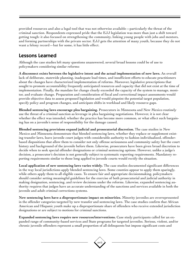provided resources and also a legal tool that was not otherwise available—particularly the threat of the criminal sanction. Respondents expressed pride that the EJJ legislation was more than just a shift toward getting tough: it also focused on strengthening the community, linking young people with jobs and mentors, and forming partnerships with the private sector. EJJ gets the attention of many youth, because they do not want a felony record—but for some, it has little effect.

## Lessons Learned

Although the case studies left many questions unanswered, several broad lessons could be of use to policymakers considering similar reforms:

**A disconnect exists between the legislative intent and the actual implementation of new laws.** An overall lack of deliberate, statewide planning, inadequate lead times, and insufficient efforts to educate practitioners about the changes have characterized implementation of reforms. Moreover, legislative prescriptions that sought to promote accountability frequently anticipated resources and capacity that did not exist at the time of implementation. Finally, the mandate for change clearly exceeded the capacity of the system to manage, monitor, and evaluate change. Preparation and consideration of fiscal and correctional impact assessments would provide objective data to assess proposed legislation and would pinpoint the potential target population, specify policy and program changes, and anticipate shifts in workload and likely resource gaps.

**Blended sentencing laws encourage plea bargaining.** Prosecutors in Minnesota and New Mexico routinely use the threat of a criminal sanction as leverage in plea bargaining negotiations. However, it is not clear whether the effect was intended, whether the practice has become more common, or what effect such bargaining has on a juvenile's sense of responsibility for the damage caused.

**Blended sentencing provisions expand judicial and prosecutorial discretion.** The case studies in New Mexico and Minnesota demonstrate that blended sentencing laws, whether they replace or supplement existing transfer laws, leave juvenile court judges with considerable authority to fashion individualized, offenderbased dispositions that allow them to consider not only offense seriousness and community safety but the court history and background of the juvenile before them. Likewise, prosecutors have been given broad discretion to decide when to seek special offender designations or criminal sentencing options. However, unlike a judge's decision, a prosecutor's decision is not generally subject to systematic reporting requirements. Mandatory reporting requirements similar to those long applied to juvenile courts would rectify the situation.

**Local application of new sentencing laws varies widely.** The case studies documented significant differences in the way local jurisdictions apply blended sentencing laws. Some counties appear to apply them sparingly, while others apply them to all eligible cases. To ensure fair and appropriate decisionmaking, policymakers should consider setting meaningful guidelines for the exercise of both prosecutorial and judicial authority in making designation, sentencing, and review decisions under the reforms. Likewise, expanded sentencing authority requires that judges have an accurate understanding of the sanctions and services available in both the juvenile and adult criminal corrections systems.

**New sentencing laws have a disproportionate impact on minorities.** Minority juveniles are overrepresented in the offender categories targeted by new transfer and sentencing laws. The case studies confirm that African American and Hispanic youth make up a disproportionate share of offenders who receive extended jurisdiction designations or are subject to motions for criminal sanctions.

**Expanded sentencing laws require new resources/interventions.** Case study participants called for an expanded range of community-based services and State programs for targeted juveniles. Serious, violent, and/or chronic juvenile offenders represent a small proportion of all delinquents but impose significant costs and

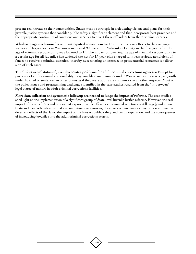present real threats to their communities. States must be strategic in articulating visions and plans for their juvenile justice systems that consider public safety a significant element and that incorporate best practices and the appropriate continuum of sanctions and services to divert these offenders from their criminal careers.

**Wholesale age exclusions have unanticipated consequences.** Despite conscious efforts to the contrary, waivers of 16-year-olds in Wisconsin increased 90 percent in Milwaukee County in the first year after the age of criminal responsibility was lowered to 17. The impact of lowering the age of criminal responsibility to a certain age for all juveniles has widened the net for 17-year-olds charged with less serious, nonviolent offenses to receive a criminal sanction, thereby necessitating an increase in prosecutorial resources for diversion of such cases.

**The "in-between" status of juveniles creates problems for adult criminal corrections agencies.** Except for purposes of adult criminal responsibility, 17-year-olds remain minors under Wisconsin law. Likewise, all youth under 18 tried or sentenced in other States as if they were adults are still minors in all other respects. Most of the policy issues and programming challenges identified in the case studies resulted from the "in-between" legal status of minors in adult criminal corrections facilities.

**More data collection and systematic followup are needed to judge the impact of reforms.** The case studies shed light on the implementation of a significant group of State-level juvenile justice reforms. However, the real impact of those reforms and others that expose juvenile offenders to criminal sanctions is still largely unknown. State and local officials must make a commitment to assessing the effects of new laws so they can determine the deterrent effects of the laws, the impact of the laws on public safety and victim reparation, and the consequences of introducing juveniles into the adult criminal corrections system.

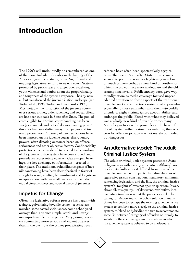## **Introduction**

The 1990's will undoubtedly be remembered as one of the more turbulent decades in the history of the American juvenile justice system. Significant and ongoing legislative activity in nearly every State prompted by public fear and anger over escalating youth violence and doubts about the proportionality and toughness of the system's response—has by now all but transformed the juvenile justice landscape (see Torbet et al., 1996; Torbet and Szymanski, 1998). Most notably, the jurisdiction of the juvenile courts over serious crimes, older juveniles, and repeat offenders has been cut back in State after State. The pool of cases eligible for criminal court handling has been vastly expanded, and critical decisionmaking power in this area has been shifted away from judges and toward prosecutors. A variety of new restrictions have been imposed on the juvenile courts' discretionary powers, often dictating outcomes based on offense seriousness and other objective factors. Confidentiality protections once considered to be vital to the working of the juvenile justice system have been eroded, and procedures representing contrary ideals—open hearings, the free exchange of information—erected in their place. The traditional rehabilitative goals of juvenile sanctioning have been deemphasized in favor of straightforward, adult-style punishment and long-term incapacitation, with fewer allowances for the individual circumstances and special needs of juveniles.

### Impetus for Change

Often, the legislative reform process has begun with a single, galvanizing juvenile crime—a senseless murder, some casual viciousness, some schoolyard outrage that is at once simple, stark, and utterly incomprehensible to the public. Very young people *are* committing more serious and violent offenses than in the past, but the crimes precipitating recent

reforms have often been spectacularly atypical. Nevertheless, in State after State, these crimes seemed to point the way to a frightening new kind of youth crime—perhaps a new kind of youth—for which the old controls were inadequate and the old assumptions invalid. Public anxiety soon gave way to indignation, as media coverage focused unprecedented attention on those aspects of the traditional juvenile court and corrections system that appeared especially to those unfamiliar with them—to coddle offenders, slight victims, ignore accountability, and endanger the public. Faced with what they believed was a wholly new kind of juvenile crime, many States began to view the principles at the heart of the old system—the treatment orientation, the concern for offender privacy—as not merely outmoded but dangerous.

### An Alternative Model: The Adult Criminal Justice System

The adult criminal justice system presented State policymakers with a ready alternative. Although not perfect, its faults at least differed from those of its juvenile counterpart. In particular, after decades of aggressive prison construction, mandatory minimum sentencing legislation, and the like, the criminal justice system's "toughness" was not open to question. It was, above all, this quality—of deterrent, retributive, incapacitating toughness—that the public seemed to be calling for. Accordingly, the policy solution in many States has been to reshape the existing juvenile justice system to conform more closely to the criminal justice system, to blend or hybridize the two to accommodate some "in-between" category of offender, or literally to substitute the criminal system in situations in which the juvenile system is believed to be inadequate.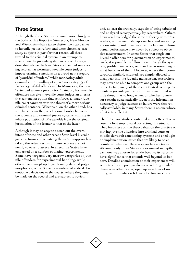## Three States

Although the three States examined more closely in the body of this Report—Minnesota, New Mexico, and Wisconsin—have taken distinctive approaches to juvenile justice reform and were chosen as case study subjects in part for that reason, all three turned to the criminal system in an attempt to strengthen the juvenile system in one of the ways described above. In New Mexico, blended sentencing reform has permitted juvenile court judges to impose criminal sanctions on a broad new category of "youthful offenders," while mandating adult criminal court handling of a narrower category of "serious youthful offenders." In Minnesota, the new "extended juvenile jurisdiction" category for juvenile offenders has given juvenile court judges an alternative sentencing option that reinforces a longer juvenile court sanction with the threat of a more serious criminal sentence. Wisconsin, on the other hand, has simply redrawn the jurisdictional border between the juvenile and criminal justice systems, shifting its whole population of 17-year-olds from the original jurisdiction of the former to that of the latter.

Although it may be easy to sketch out the overall intent of these and other recent State-level juvenile justice reforms and to catalog the various approaches taken, the actual results of these reforms are not nearly so easy to assess. In effect, the States have embarked on a number of distinct experiments. Some have targeted very narrow categories of juvenile offenders for experimental handling, while others have swept up huge, broadly defined polymorphous groups. Some have entrusted critical discretionary decisions to the courts, where they must be made on the record and are subject to review

2

and, at least theoretically, capable of being tabulated and analyzed retrospectively by researchers. Others, however, have lodged the same authority with prosecutors, whose methods, approaches, and reasoning are essentially unknowable after the fact and whose actual performance may never be subject to objective measurement. In some States that single out juvenile offenders for placement on an experimental track, it is possible to follow them through the system, profile them as a group, and learn something of what becomes of them. However, where their counterparts, similarly situated, are simply allowed to disappear into the juvenile mainstream, researchers may never be able to compare one group with the other. In fact, many of the recent State-level experiments in juvenile justice reform were instituted with little thought as to how, when, or whether to measure results systematically. Even if the information necessary to judge success or failure were theoretically available, in many States there is no one whose job it is to collect it.

The three case studies contained in this Report represent a first step toward correcting this situation. They focus less on the theory than on the practice of moving juvenile offenders into criminal court or middle-tier/adult sanctioning systems and shed light on implementation issues that are likely to be encountered wherever these approaches are taken. Although only three States are examined in depth, each one was chosen for study because its reforms have significance that extends well beyond its borders. Detailed examination of their experiences will serve to educate policymakers considering similar changes in other States, open up new lines of inquiry, and provide a solid basis for further study.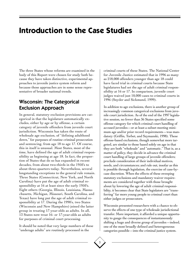## **Introduction to the Case Studies**

The three States whose reforms are examined in the body of this Report were chosen for study both because they have taken distinctive, experimental approaches to juvenile justice system reform and because those approaches are in some sense representative of broader national trends.

## Wisconsin: The Categorical Exclusion Approach

In general, statutory exclusion provisions are categorical in that the legislature automatically excludes, either by age or by offense, a certain category of juvenile offenders from juvenile court jurisdiction. Wisconsin has taken the route of wholesale age exclusion, of "defining adulthood down," for purposes of routine criminal prosecution and sentencing, from age 18 to age 17. Of course, this in itself is unusual. Most States, most of the time, have defined the age of adult criminal responsibility as beginning at age 18. In fact, the proportion of States that do so has expanded in recent decades, from about two-thirds in the 1950's to about three-quarters today. Nevertheless, several longstanding exceptions to the general rule remain. Three States (Connecticut, New York, and North Carolina) have put the age of adult criminal responsibility at 16 at least since the early 1950's. Eight others (Georgia, Illinois, Louisiana, Massachusetts, Michigan, Missouri, South Carolina, and Texas) have long put the age of adult criminal responsibility at 17. During the 1990's, two States (Wisconsin and New Hampshire) joined the latter group in treating 17-year-olds as adults. In all, 13 States now treat 16- or 17-year-olds as adults for purposes of criminal court processing.

It should be noted that very large numbers of these "underage adults" are routinely processed in the

criminal courts of these States. The National Center for Juvenile Justice estimated that in 1996 as many as 218,000 offenders younger than age 18 could have faced trial in criminal courts because State legislatures had set the age of adult criminal responsibility at 16 or 17. In comparison, juvenile court judges waived just 10,000 cases to criminal courts in 1996 (Snyder and Sickmund, 1999).

In addition to age exclusions, there is another group of increasingly common categorical exclusions from juvenile court jurisdiction. As of the end of the 1997 legislative session, no fewer than 36 States specified some offense category for which criminal court handling of accused juveniles—or at least a subset meeting minimum age and/or prior record requirements—was mandatory (Griffin, Torbet, and Szymanski, 1998). These offense-based exclusions, though somewhat more targeted, are similar to those based solely on age in that they are both "wholesale" and "automatic." That is, as a matter of policy, they decide in advance the criminal court handling of large groups of juvenile offenders; preclude consideration of their individual motives, needs, and circumstances; and rule out, insofar as this is possible through legislation, the exercise of case-bycase discretion. When the effects of these sweeping statutory exclusions and mandatory waiver requirements are considered together with those brought about by lowering the age of adult criminal responsibility, it becomes clear that State legislators are "transferring" far more young people to criminal court than either judges or prosecutors.

Wisconsin presented researchers with a chance to observe the effects of one type of wholesale jurisdictional transfer. More important, it afforded a unique opportunity to gauge the consequences of instantaneously shifting a huge and diverse group of juveniles—indeed, one of the most broadly defined and heterogeneous categories possible—into the criminal justice system.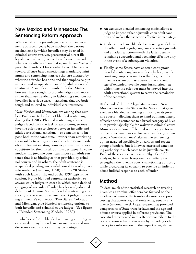## New Mexico and Minnesota: The Sentencing Reform Approach

While most of the juvenile justice reform experiments of recent years have involved the various mechanisms by which juveniles may be tried in criminal courts (waiver, prosecutorial direct file, legislative exclusion), some have focused instead on what comes afterwards—that is, on the *sanctioning* of juvenile offenders. One clearly discernible trend is toward offense-based sanctioning: mandatory minimums and sentencing matrices that are dictated by what the offender has done and that emphasize punishment and incapacitation over rehabilitation and treatment. A significant number of other States, however, have sought to provide judges with more rather than less flexibility in fashioning sanctions for juveniles in serious cases—sanctions that are both tough and tailored to individual circumstances.

New Mexico and Minnesota are among that number. Each enacted a form of blended sentencing during the 1990's. Blended sentencing allows judges faced with the task of sanctioning serious juvenile offenders to choose between juvenile and adult correctional sanctions—or sometimes to impose both at the same time—rather than restricting them solely to one system or the other. Some models supplement existing transfer provisions; others substitute for them in all but murder cases. In some models, the juvenile court can impose an adult sentence that is as binding as that provided by criminal courts, and in others, the adult sentence is suspended pending successful completion of a juvenile sentence (Zimring, 1998). Of the 20 States with such laws at the end of the 1997 legislative session, 9 give blended sentencing authority to *juvenile* court judges in cases in which some defined category of juvenile offender has been adjudicated delinquent. In nine States, blended sentencing authority is exercised by *criminal* court judges, following a juvenile's conviction. Two States, Colorado and Michigan, give blended sentencing options to both juvenile and criminal court judges. (See figure 1, "Blended Sentencing Models, 1997.")

In whichever forum blended sentencing authority is exercised, it may be exclusive or inclusive, and under some circumstances, it may be contiguous:

- ◆ An exclusive blended sentencing model allows a judge to impose either a juvenile *or* an adult sanction and makes that sanction effective immediately.
- ◆ Under an inclusive blended sentencing model, on the other hand, a judge may impose *both* a juvenile and an adult sanction—with the latter usually remaining suspended and becoming effective only in the event of a subsequent violation.
- ◆ Finally, some States have enacted contiguous blended sentencing laws, under which a juvenile court may impose a sanction that begins in the juvenile system but lasts beyond the maximum age of extended juvenile court jurisdiction—at which time the offender must be moved into the adult correctional system to serve the remainder of the sentence.

At the end of the 1997 legislative session, New Mexico was the only State in the Nation that gave exclusive blended sentencing authority to its juvenile courts—allowing them to hand out immediately effective adult sentences to a broad category of juveniles previously eligible for waiver to criminal court. Minnesota's version of blended sentencing reform, on the other hand, was inclusive. Specifically, it featured a "one-last-chance" alternative sentencing option targeted specifically at serious and repeat young offenders, but it likewise entrusted sanctioning authority in such cases to its juvenile courts. Each of these experiments is worthy of careful analysis, because each represents an attempt to strengthen the juvenile court's sanctioning authority while preserving its capacity to provide an individualized judicial response to each offender.

## Method

To date, much of the statistical research on treating juveniles as criminal offenders has focused on the incidence of waiver, the transfer decision, case processing characteristics, and sentencing, usually at a macro (national) level. Legal research has provided comparisons of State transfer laws and the age and offense criteria applied in different provisions. The case studies presented in this Report contribute to the body of knowledge on this issue by providing rich descriptive information on the impact of legislative,

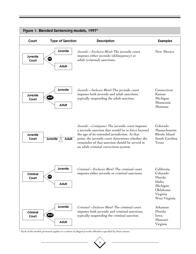

#### Figure 1. Blended Sentencing Models, 1997\*

\* Each of the models presented applies to a subset of alleged juvenile offenders specified by State statute.

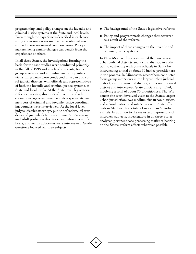programming, and policy changes on the juvenile and criminal justice systems at the State and local levels. Even though the experiences described in each case study are in some ways unique to the site that was studied, there are several common issues. Policymakers facing similar changes can benefit from the experiences of others.

In all three States, the investigations forming the basis for the case studies were conducted primarily in the fall of 1998 and involved site visits, focus group meetings, and individual and group interviews. Interviews were conducted in urban and rural judicial districts, with officials and representatives of both the juvenile and criminal justice systems, at State and local levels. At the State level, legislators, reform advocates, directors of juvenile and adult corrections agencies, juvenile justice specialists, and members of criminal and juvenile justice coordinating councils were interviewed. At the local level, judges, district attorneys, public defenders, jail wardens and juvenile detention administrators, juvenile and adult probation directors, law enforcement officers, and victim advocates were interviewed. Study questions focused on three subjects:

6

- ◆ The background of the State's legislative reforms.
- ◆ Policy and programmatic changes that occurred as a result of the reforms.
- ◆ The impact of these changes on the juvenile and criminal justice systems.

In New Mexico, observers visited the two largest urban judicial districts and a rural district, in addition to conferring with State officials in Santa Fe, interviewing a total of about 60 justice practitioners in the process. In Minnesota, researchers conducted focus group interviews in the largest urban judicial district, a suburban/rural district, and a remote rural district and interviewed State officials in St. Paul, involving a total of about 70 practitioners. The Wisconsin site work involved visits to the State's largest urban jurisdiction, two medium-size urban districts, and a rural district and interviews with State officials in Madison, for a total of more than 60 individuals. In addition to the views and impressions of interview subjects, investigators in all three States analyzed pertinent case processing statistics bearing on the States' reform efforts wherever possible.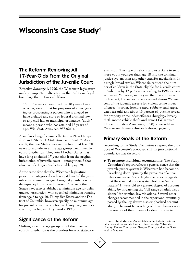## **Wisconsin's Case Study1**

## The Reform: Removing All 17-Year-Olds From the Original Jurisdiction of the Juvenile Court

Effective January 1, 1996, the Wisconsin legislature made an important alteration in the traditional legal boundary that defines adulthood:

"Adult" means a person who is 18 years of age or older, except that for purposes of investigating or prosecuting a person who is alleged to have violated any state or federal criminal law or any civil law or municipal ordinance, "adult" means a person who has attained 17 years of age. Wis. Stat. Ann., sec. 938.02(1).

A similar change became effective in New Hampshire in 1996. N.H. Stat. Ann., sec.169–B:2. As a result, the two States became the first in at least 20 years to exclude an entire age group from juvenile court jurisdiction. They join 11 other States that have long excluded 17-year-olds from the original jurisdiction of juvenile court—among them 3 that also exclude 16-year-olds (see table, page 9).

At the same time that the Wisconsin legislature passed the categorical exclusion, it lowered the juvenile court's minimum age of original jurisdiction for delinquency from 12 to 10 years. Fourteen other States have also established a minimum age for delinquency jurisdiction, with specified minimums ranging from age 6 to age 10. Thirty-five States and the District of Columbia, however, specify no minimum age for juvenile court jurisdiction in delinquency matters (Griffin, Torbet, and Szymanski, 1998).

## Significance of the Reform

Shifting an entire age group out of the juvenile court's jurisdiction is the broadest form of statutory exclusion. This type of reform allows a State to send more youth younger than age 18 into the criminal justice system than any other transfer mechanism. In a single broad stroke, Wisconsin reduced the number of children in the State eligible for juvenile court jurisdiction by 12 percent, according to 1996 Census estimates. Moreover, in the year that the exclusion took effect, 17-year-olds represented almost 25 percent of the juvenile arrests for violent crime index offenses (murder, forcible rape, robbery, and aggravated assault) and about 15 percent of juvenile arrests for property crime index offenses (burglary, larcenytheft, motor vehicle theft, and arson) (Wisconsin Office of Justice Assistance, 1998). (See sidebar: "Wisconsin Juvenile Justice Reform," page 8.)

## Primary Goals of the Reform

According to the Study Committee's report, the purpose of Wisconsin's proposed shift in jurisdictional boundaries was threefold:

◆ **To promote individual accountability.** The Study Committee's report reflects a general sense that the juvenile justice system in Wisconsin had become a "revolving door" spun by the pressures of a juvenile crime wave. Accordingly, the report suggests that the criminal justice system hold the "more mature" 17-year-old to a greater degree of accountability by threatening the "full range of adult dispositions" for criminal law violations. Several other changes recommended in the report and eventually passed by the legislature also emphasized accountability. The most far reaching of these changes was the rewrite of the Juvenile Code's purpose to

<sup>1</sup> Hunter Hurst, Jr., and Anne Stahl conducted site visits and interviews at the county level in Dane County, Milwaukee County, Racine County, and Sawyer County and at the State level in Madison.

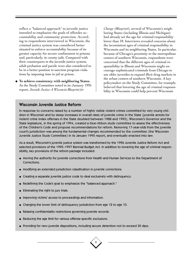reflect a "balanced approach" to juvenile justice intended to emphasize the goals of offender accountability and community protection. According to respondents interviewed in Wisconsin, the criminal justice system was considered better situated to enforce accountability because of its greater capacity for secure confinement in prisons and, particularly, in county jails. Compared with their counterparts in the juvenile justice system, adult probation and parole were also considered to be in a better position to sanction program violations by imposing time in jail or prison.

◆ **To achieve consistency with neighboring States.** As the Study Committee noted in its January 1995 report, *Juvenile Justice: A Wisconsin Blueprint for*

*Change (Blueprint*), several of Wisconsin's neighboring States (including Illinois and Michigan) had already set the age for criminal responsibility lower than 18. Interviews revealed concerns about the inconsistent ages of criminal responsibility in Wisconsin and its neighboring States. In particular, because of Chicago's proximity to the metropolitan centers of southern Wisconsin, respondents were concerned that the different ages of criminal responsibility in Illinois and Wisconsin might encourage sophisticated criminals from Chicago to use older juveniles to expand illicit drug markets in the urban centers of southern Wisconsin. A key policymaker on the Study Committee, for example, believed that lowering the age of criminal responsibility in Wisconsin could help prevent Wisconsin

#### Wisconsin Juvenile Justice Reform

In response to concerns raised by a number of highly visible violent crimes committed by very young children in Wisconsin and by steep increases in overall rates of juvenile crime in the State (juvenile arrests for violent crime index offenses in the State doubled between 1988 and 1993), Wisconsin's Governor and the State legislature, in the spring of 1994, created a blue-ribbon study committee to assess the effectiveness of the Children's Code and propose recommendations for reform. Removing 17-year-olds from the juvenile court's jurisdiction was among the fundamental changes recommended by the committee (the Wisconsin Juvenile Justice Study Committee) in its January 1995 report, and eventually enacted into law.

As a result, Wisconsin's juvenile justice system was transformed by the 1996 Juvenile Justice Reform Act and selected provisions of the 1995–1997 Biennial Budget Act. In addition to lowering the age of criminal responsibility, key provisions of the reform package included:

- ◆ Moving the authority for juvenile corrections from Health and Human Services to the Department of Corrections.
- ◆ Modifying an extended jurisdiction classification in juvenile corrections.
- ◆ Creating a separate juvenile justice code to deal exclusively with delinquency.
- ◆ Redefining the Code's goal to emphasize the "balanced approach."
- ◆ Eliminating the right to jury trials.
- ◆ Improving victims' access to proceedings and information.
- ◆ Changing the lower limit of delinquency jurisdiction from age 12 to age 10.
- ◆ Relaxing confidentiality restrictions governing juvenile records.
- ◆ Reducing the age limit for various offense-specific exclusions.
- ◆ Providing for new juvenile dispositions, including secure detention not to exceed 30 days.

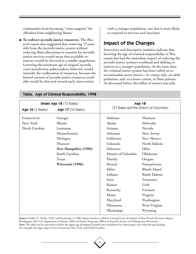communities from becoming "crime magnets" for offenders from neighboring States.

◆ **To redirect juvenile justice resources.** The *Blueprint* report also suggested that removing 17-yearolds from the juvenile justice system without reducing State allocations to counties for juvenile justice services would mean that available resources would be directed to a smaller population. Lowering the minimum age of original juvenile court jurisdiction, policymakers believed, would intensify the reallocation of resources, because the limited amount of juvenile justice resources available would be directed toward early intervention

with a younger population, one that is more likely to respond to services and sanctions.

### Impact of the Changes

Interviews and descriptive statistics indicate that lowering the age of criminal responsibility in Wisconsin has had the immediate impact of reducing the juvenile justice system's workload and shifting resources to a younger population. At the same time, the criminal justice system has been called on to accommodate more minors—in county jails, on adult probation, and, to a lesser extent, in State prisons. As discussed below, the influx of minors into jails

| <b>Under Age 18 (13 States)</b> |                      | <b>Age 18</b>                            |               |
|---------------------------------|----------------------|------------------------------------------|---------------|
| <b>Age 16 (3 States)</b>        | Age 17 (10 States)   | (37 States and the District of Columbia) |               |
| Connecticut                     | Georgia              | Alabama                                  | Montana       |
| New York                        | Illinois             | Alaska                                   | Nebraska      |
| North Carolina                  | Louisiana            | Arizona                                  | Nevada        |
|                                 | Massachusetts        | Arkansas                                 | New Jersey    |
|                                 | Michigan             | California                               | New Mexico    |
|                                 | Missouri             | Colorado                                 | North Dakota  |
|                                 | New Hampshire (1996) | Delaware                                 | Ohio          |
|                                 | South Carolina       | District of Columbia                     | Oklahoma      |
|                                 | Texas                | Florida                                  | Oregon        |
|                                 | Wisconsin (1996)     | Hawaii                                   | Pennsylvania  |
|                                 |                      | Idaho                                    | Rhode Island  |
|                                 |                      | Indiana                                  | South Dakota  |
|                                 |                      | Iowa                                     | Tennessee     |
|                                 |                      | Kansas                                   | Utah          |
|                                 |                      | Kentucky                                 | Vermont       |
|                                 |                      | Maine                                    | Virginia      |
|                                 |                      | Maryland                                 | Washington    |
|                                 |                      | Minnesota                                | West Virginia |
|                                 |                      | Mississippi                              | Wyoming       |

#### Table. Age of Criminal Responsibility, 1998

**Source:** Griffin, P., Torbet, P.M., and Szymanski, L. 1998. *Trying Juveniles as Adults in Criminal Court: An Analysis of State Transfer Provisions.* Report. Washington, DC: U.S. Department of Justice, Office of Justice Programs, Office of Juvenile Justice and Delinquency Prevention. **Note:** The table can be converted to define the upper age of original juvenile court jurisdiction by subtracting 1 year from the age heading. For example, the upper age is 15 in Connecticut, New York, and North Carolina.

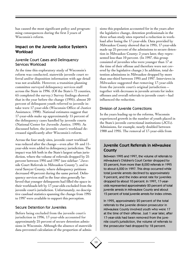has caused the most significant policy and programming consequences during the first 3 years of Wisconsin's reform.

#### Impact on the Juvenile Justice System's **Workload**

#### Juvenile Court Cases and Delinquency Services Workload

At the time this exploratory study of Wisconsin's reform was conducted, statewide juvenile court referral and/or disposition information with age detail was not available. However, a transition planning committee surveyed delinquency services staff across the State in 1996. (Of the State's 72 counties, 65 completed the survey.) Survey findings showed that in the year before the change (1995), almost 20 percent of delinquent youth referred to juvenile intake were 17-year-olds (Wisconsin Office of Justice Assistance, 1998). National estimates suggest that 17-year-olds make up approximately 15 percent of the delinquency cases handled by juvenile courts (National Center for Juvenile Justice, 1999). As discussed below, the juvenile court's workload decreased significantly after Wisconsin's reform.

Across the four study sites, juvenile court workload was reduced after the change—even after 10- and 11 year-olds were added to delinquency jurisdiction. The impact was felt both in the State's largest urban jurisdiction, where the volume of referrals dropped by 25 percent between 1995 and 1997 (see sidebar: "Juvenile Court Referrals in Milwaukee County"), and in rural Sawyer County, where delinquency petitions decreased 40 percent during the same period. Delinquency services staff in the four sites generally believed that younger delinquents had filled the space in their workloads left by 17-year-olds excluded from the juvenile court's jurisdiction. Unfortunately, no descriptive caseload statistics spanning the change from 1995 to 1997 were available to support this perception.

#### Secure Detention for Juveniles

Before being excluded from the juvenile court's jurisdiction in 1996, 17-year-olds accounted for approximately 25 percent of secure detention admissions in Wisconsin. Although the absence of statewide data prevented calculation of the proportion of admissions this population accounted for in the years after the legislative change, detention professionals in the three urban study sites reported a reduction in workload after losing the 17-year-olds. Data provided by Milwaukee County showed that in 1995, 17-year-olds made up 25 percent of the admissions to secure detention in Milwaukee County; 2 years later, they represented less than 10 percent. (In 1997, this group consisted of juveniles who were younger than 17 at the time of their offense and therefore were not covered by the legislative change.) In addition, total detention admissions in Milwaukee dropped by more than one-third between 1995 and 1997. Interviews in Milwaukee suggested that removing 17-year-olds from the juvenile court's original jurisdiction together with decreases in juvenile arrests for index offenses and overall referrals to juvenile court—had influenced the reduction.

#### Division of Juvenile Corrections

In the years leading up to the reforms, Wisconsin experienced growth in the number of youth placed in the State's juvenile correctional institutions (JCI's). Admissions, for example, nearly doubled between 1988 and 1995. The removal of 17-year-olds from

#### Juvenile Court Referrals in Milwaukee County

Between 1995 and 1997, the volume of referrals to Milwaukee's Children's Court Center dropped by 25 percent, from more than 8,000 referrals in 1995 to about 6,000 in 1997. This drop occurred while total juvenile arrests declined by approximately 9 percent, and the index arrest rate for juveniles dropped by about 10 percent. In 1997, 17-yearolds represented approximately 20 percent of total juvenile arrests in Milwaukee County and about 15 percent of total juvenile arrests for index crimes.

In 1995, approximately 20 percent of the total referrals to the juvenile division prosecutor in Milwaukee County involved youth who were 17 at the time of their offense. Just 1 year later, after 17-year-olds had been removed from the juvenile court's jurisdiction, the volume of referrals to the prosecutor had dropped by 18 percent.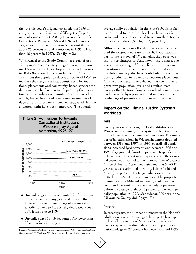the juvenile court's original jurisdiction in 1996 directly affected admissions to JCI's by the Department of Correction's (DOC's) Division of Juvenile Corrections. Between 1995 and 1997, admissions of 17-year-olds dropped by almost 50 percent (from about 25 percent of total admissions in 1995 to less than 15 percent in 1997). (See figure 2.)

With regard to the Study Committee's goal of providing more resources to younger juveniles, removing 17-year-olds led to a drop in overall admissions to JCI's (by about 15 percent between 1995 and 1997), but the population decrease required DOC to increase the daily rates that counties pay for institutional placements and community-based services for delinquents. The fixed costs of operating the institutions and providing community programs, in other words, had to be spread over a smaller number of days of care. Interviews, however, suggested that the situation might have been temporary. The overall

#### Figure 2. Admissions to Juvenile Correctional Institutions in Wisconsin, by Age at Admission, 1995–97



- ◆ Juveniles ages 10–13 accounted for fewer than 100 admissions in any year and, despite the lowering of the minimum age of juvenile court jurisdiction to age 10, actually decreased about 10% from 1995 to 1997.
- ◆ Juveniles ages 18–19 accounted for fewer than 50 admissions in any year.

**Source:** Wisconsin Office of Justice Assistance. 1998. *Wisconsin Adult Jail Populations–1997.* Madison, WI: Wisconsin Office of Justice Assistance.

average daily population in the State's JCI's, in fact, has returned to prereform levels, as have per diem costs, and levels are expected to remain there for the foreseeable future. (See figure 3, page 12.)

Although corrections officials in Wisconsin attributed the original decrease in the JCI population in part to the removal of 17-year-olds, they observed that other changes to State laws—including a provision authorizing a 30-day disposition in secure detention and licensed private residential care institutions—may also have contributed to the temporary reduction in juvenile corrections placements. On the other hand, they believed that the return to prereform population levels had resulted from among other factors—longer periods of commitment made possible by a provision that increased the extended age of juvenile court jurisdiction to age 25.

#### Impact on the Criminal Justice System's **Workload**

#### Jails

County jails were among the first institutions in Wisconsin's criminal justice system to feel the impact of the lower age of criminal responsibility. The number of jail admissions in Wisconsin almost doubled between 1988 and 1997. In 1996, overall jail admissions increased by 5 percent, and between 1996 and 1997, they jumped almost 10 percent. Respondents believed that the additional 17-year-olds in the criminal system contributed to the increase. The Wisconsin Office of Justice Assistance estimated that 5,750 17 year-olds were admitted to county jails in 1996 and 8,125 (or 3 percent of total jail admissions) were admitted in 1997, a 41-percent increase. The proportion of minors in the Milwaukee County Jail grew from less than 1 percent of the average daily population before the change to almost 5 percent of the average daily population in 1997. (See sidebar: "Minors in the Milwaukee County Jail," page 13.)

#### Prisons

In recent years, the number of inmates in the Nation's adult prisons who are younger than age 18 has expanded rapidly. A survey of State corrections departments suggests that the under-18 prison population nationwide grew 22 percent between 1991 and 1995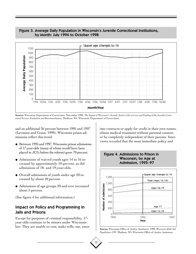

#### Figure 3. Average Daily Population in Wisconsin's Juvenile Correctional Institutions, by Month: July 1994 to October 1998

Source: Wisconsin Department of Corrections. November 1998. The Impact of Wisconsin's Juvenile Justice Code on Costs and Funding of the Juvenile Correc-

and an additional 36 percent between 1995 and 1997 (Levinson and Green, 1999). Wisconsin prison admissions reflect this trend:

- ◆ Between 1995 and 1997, Wisconsin prison admissions of 17-year-olds (many of whom would have been placed in JCI's before the reform) grew 70 percent.
- ◆ Admissions of waived youth ages 14 to 16 increased by approximately 10 percent, as did admissions of 18- and 19-year-olds.
- ◆ Overall admissions of youth under age 20 increased by about 20 percent.
- ◆ Admissions of age groups 20 and over increased about 5 percent.

(See figure 4 for additional information.)

#### Impact on Policy and Programming in Jails and Prisons

Except for purposes of criminal responsibility, 17 year-olds continue to be minors under Wisconsin law. They are unable to vote, make wills, sue, enter into contracts or apply for credit in their own names, obtain medical treatment without parental consent, or be completely independent of their parents. Interviews revealed that the most immediate policy and

Figure 4. Admissions to Prison in



**Source:** Wisconsin Office of Justice Assistance. 1998. *Wisconsin Adult Jail Populations–1997.* Madison, WI: Wisconsin Office of Justice Assistance.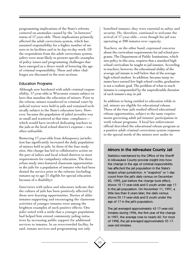programming implications of the State's reforms centered on anomalies caused by the "in-between" status of 17-year-olds. These implications primarily affected the adult corrections system, which has assumed responsibility for a higher number of minors in its facilities and in its day-to-day work. Of the respondents from the adult corrections system, jailers were most likely to present specific examples of policy issues and programming challenges that have emerged as a direct result of lowering the age of criminal responsibility. These and other challenges are discussed in the next sections.

#### Education Programs

Although now burdened with adult criminal responsibility, 17-year-olds in Wisconsin remain subject to laws that mandate the education of minors. Prior to the reform, minors transferred to criminal court by judicial waiver were held in jails and remained technically subject to the State's education laws. However, because the population of jailed juveniles was so small and scattered at that time, compliance which would have involved dedicating teachers to the jails at the local school district's expense—was often unfeasible.

Removing 17-year-olds from delinquency jurisdiction has significantly increased the daily population of minors held in jails. In three of the four study sites, this change has led to collaborative action on the part of jailers and local school districts to meet requirements for compulsory education. The three urban study sites featured classroom opportunities in the jails for a population of inmates who had been denied the service prior to the reforms (including inmates up to age 21 eligible for special education because of a disability).

Interviews with jailers and educators indicate that the culture of jails has been positively affected by these new learning opportunities. Stories of older inmates supporting and encouraging the classroom activities of younger inmates were among the brightest examples of such positive effects. One jailer noted with a smile that a younger population had helped him extend community jailing initiatives by increasing public support for additional services to inmates. In an overcrowded facility, he said, inmate services and programming not only

benefited inmates, they were essential to safety and security. He, therefore, continued to welcome the arrival of 17-year-olds—even though his jail was operating at 200 inmates over capacity.

Teachers, on the other hand, expressed concerns about the curriculum requirements for jail school programs. The Department of Public Institutions, which sets policy in this area, requires that a standard high school curriculum be taught to jail inmates. According to teachers, however, the educational ability of the average jail inmate is well below that of the average high school student. In addition, because many inmates have earned few high school credits, graduation is not a realistic goal. The problem of what to teach inmates is compounded by the unpredictable duration of each inmate's stay in jail.

In addition to being entitled to education while in jail, minors are eligible for educational release. Three of the four jails studied offered educational release opportunities, subject to the same requirements governing adult jail inmates' participation in work release programs. A local law enforcement official described the educational release program as a positive adult criminal corrections system response to the special needs of the minors now under its

#### Minors in the Milwaukee County Jail

Statistics maintained by the Office of the Sheriff in Milwaukee County provide insight into how the change in the age of criminal responsibility has affected the jail population in the State's largest urban jurisdiction. A "snapshot" or 1-day count from the jail's daily census on December 20, 1995, just before the change took effect, shows 12 17-year-olds and 5 youth under age 17 in the jail population. On November 11, 1997, a little less than 2 years later, the daily census shows 55 17-year-olds and 2 youth under the age of 17 in the jail's population.

The jail averaged approximately 43 17-year-old inmates during 1996, the first year of the change. In 1997, the average rose to nearly 60. For most of 1998, the jail averaged approximately 55 17 year-old inmates.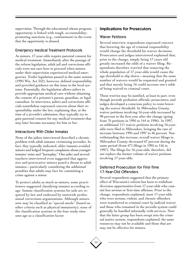supervision. Through the educational release program, opportunity is linked with tough, accountabilitypromoting sanctions (e.g., confinement) in the event that the opportunity is abused.

#### Emergency Medical Treatment Protocols

As minors, 17-year-olds require parental consent for medical treatment. Immediately after the passage of the reform legislation, adult jail and corrections officials were not sure how to proceed when minors under their supervision experienced medical emergencies. Trailer legislation passed in the same session (1995 Wis. Act 352), however, defined responsibility and provided guidance on this issue to the local systems. Essentially, the legislation allows jailers to provide appropriate medical care without obtaining the consent of a prisoner's parent, guardian, or legal custodian. In interviews, jailers and corrections officials nonetheless expressed concern about their responsibility under the law, explaining that, at the time of a juvenile's admission, they typically try to gain parental consent for any medical treatment that may later become necessary for him or her.

#### Interactions With Older Inmates

None of the jailers interviewed described a chronic problem with adult inmates victimizing juveniles. In fact, they typically indicated, older inmates avoided minors and lodged frequent complaints about younger inmates' noise and "horseplay." One jailer and several teachers interviewed even suggested that aggressive and provocative minors posed a threat to adult inmates—particularly considering the additional penalties that adults may face for committing a crime against a minor.

To protect adults as much as minors, some practitioners suggested classifying inmates according to age. Inmate classification systems for jails are required by law and endorsed by statewide professional corrections organizations. Although minors now may be classified as "special needs" (based on other criteria such as physical immaturity), none of the classification systems in the four study sites uses age as a classification factor.

#### Implications for Prosecutors

#### Waiver Petitions

Several interview respondents expressed concern that lowering the age of criminal responsibility would change the threshold for waiver decisions. Prosecutors and judges interviewed explained that, prior to the change, simply being 17 years old greatly increased the odds of a waiver filing. Respondents therefore worried that removing the whole population of 17-year-olds would cause the age threshold to slip down—meaning that the same number of waivers would be requested and granted and that merely being 16 could increase one's odds of being waived to criminal court.

These worries may be justified, at least in part, even though juvenile probation officials, prosecutors, and judges developed a conscious policy to resist lowering the waiver threshold. In Milwaukee County, waiver petitions involving 16-year-olds increased by 90 percent in the first year after the change (going from 76 petitions in 1995 to 144 in 1996). In 1997, an additional 111 waiver petitions involving 16-yearolds were filed in Milwaukee, bringing the rate of increase between 1995 and 1997 to 46 percent. Notwithstanding this increase, overall waiver filings in Milwaukee County decreased 67 percent during the same period (from 471 filings in 1995 to 156 in 1997). The filings for 16-year-olds, therefore, did not replace the former volume of waiver petitions involving 17-year-olds.

#### Deferred Prosecution for First-Time 17-Year-Old Offenders

Several respondents suggested that the primary effect of Wisconsin's reform has been to withdraw diversion opportunities from 17-year-olds who commit less serious or first-time offenses. Prior to the change, respondents explained, most 17-year-olds who were serious, violent, and chronic offenders were transferred to criminal court by judicial waiver and those who remained in the juvenile system could generally be handled informally with services. Now that the latter group has been swept into the criminal justice system, respondents explained, the same resources may not be available and those that are may not be effective for minors.

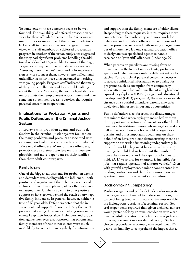To some extent, these concerns seem to be well founded. The availability of deferred prosecution services for these offenders across the four sites was not uniform. For example, one of the urban jurisdictions lacked staff to operate a diversion program. Interviews with staff members of a deferred prosecution program in another of the urban study sites suggested that they had significant problems handling the additional workload of 17-year-olds. Because of their age, 17-year-olds may be prime candidates for diversion. Assessing these juveniles' needs and tailoring diversion services to meet them, however, are difficult and unfamiliar tasks for those unaccustomed to working with young people. Program staff indicated that many of the youth are illiterate and have trouble talking about their lives. Moreover, the youth's legal status as minors limits their employment opportunities and may sometimes block their access to services that require parental consent or cooperation.

#### Implications for Probation Agents and Public Defenders in the Criminal Justice System

Interviews with probation agents and public defenders in the criminal justice system focused on the many problems and pressures associated with carrying caseloads that contain a larger number of 17-year-old offenders. Many of these offenders, practitioners explained, are less mature, less employable, and more dependent on their families than their adult counterparts.

#### Family Issues

One of the biggest adjustments for probation agents and defenders was dealing with the influence—both positive and negative—of their clients' parents and siblings. Often, they explained, older offenders have exhausted their families' capacity to offer positive support or have grown beyond the reach of any negative family influences. In general, however, neither is true of 17-year-olds. Defenders noted that the involvement and support of parents during the court process make a big difference in helping some minor clients keep their hopes alive. Defenders and probation agents, however, also reported that parents and family members of their minor clients were much more likely to contact them regularly for information

and support than the family members of older clients. Responding to these requests, in turn, requires more contact, more client advocacy, and more work for defenders and probation officers. In fact, these and similar pressures associated with serving a large number of minors have led one regional probation office to designate two specialized agents to handle caseloads of "youthful" offenders (under age 20).

When parents or guardians are missing from or uninvolved in the lives of minor clients, probation agents and defenders encounter a different set of obstacles. For example, if parental consent is necessary to access confidential information or to qualify for programs (such as exemption from compulsory school attendance for early enrollment in high school equivalency diploma (HSED) or general educational development (GED) programs), the absence or recalcitrance of a youthful offender's parents may effectively deny him or her important opportunities.

Public defenders also observed the disadvantages that minors face when trying to make bail without the support and assistance of parents or other family members. In addition, minors whose legal caretakers will not accept them in a household or sign work permits and other important documents on their behalf often have problems demonstrating means of support or otherwise functioning independently in the adult world. They must be employed to secure housing, but child labor laws limit the number of hours they can work and the types of jobs they can hold. (A 17-year-old, for example, is ineligible for jobs that require operation of a motor vehicle.) Even with gainful employment, a minor cannot enter into binding contracts—and therefore cannot lease an apartment—without a parent's cosignature.

#### Decisionmaking Competency

Probation agents and public defenders also suggested that 17-year-olds often fail to understand the significance of being tried in criminal court—most notably, the lifelong repercussions of a criminal record. Several respondents reported that, given a choice, minors would prefer a felony criminal conviction with a sentence of adult probation to a delinquency adjudication ordering placement in a residential facility. Such a choice, respondents explained, may result from 17 year-olds' inability to comprehend the impact that a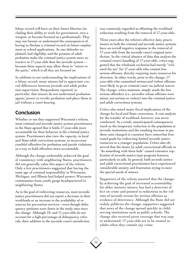felony record will have on their future liberties (including their ability to work for government, own a weapon, or become licensed as a professional). They may not foresee or understand the consequences of having to disclose a criminal record on future employment or school applications. As one defender explained, bail eligibility and the promise of adult probation make the criminal justice system more attractive to 17-year-olds than the juvenile system because these aspects may allow them to "return to the party," which is all they are focused on.

In addition to not understanding the implications of a felony record, many minors fail to appreciate crucial differences between juvenile and adult probation supervision. Respondents reported, in particular, that minors do not understand probation agents' power to revoke probation and place them in jail without a court hearing.

## Conclusion

Whether or not they supported Wisconsin's reform, most criminal and juvenile justice system practitioners in the State agreed that it holds 17-year-olds more accountable for their behavior in the criminal justice system. Practitioners also view the capacity, in local and State adult corrections systems, to incarcerate youthful offenders for probation and parole violations as a way to hold offenders more accountable.

Although the change undeniably achieved the goal of consistency with neighboring States, practitioners did not generally value this aspect of the reform. Only a few practitioners suggested that having the same age of criminal responsibility in Wisconsin, Michigan, and Illinois had helped protect Wisconsin communities from youth gangs headquartered in neighboring States.

As to the goal of redirecting resources, most juvenile justice practitioners did not report a decrease in their workloads or an increase in the availability of resources for prevention services—even though delinquency petitions were down in the study sites since the change. Although 10- and 11-year-olds do not account for a high percentage of delinquency referrals, their addition to the juvenile court's jurisdiction

was commonly regarded as offsetting the workload reduction resulting from the removal of 17-year-olds.

Three years after the reform's effective date, practitioners in both the criminal and juvenile justice systems have an overall negative response to the removal of 17-year-olds from the juvenile court's original jurisdiction. In the critical absence of data that analyze the criminal court's handling of 17-year-olds, critics suggested that the wholesale exclusion had merely "widened the net" for 17-year-olds who commit less serious offenses, thereby requiring more resources for diversion. In other words, prior to the change, 17 year-olds who committed serious and violent offenses were likely to go to criminal court via judicial waiver. The change, critics maintain, simply sends the less serious offenders (i.e., juveniles whose offenses were minor, not serious or violent) into the criminal justice and adult corrections systems.

Critics also noted major fiscal implications of the change for local and State corrections. A cost analysis for the transfer of workload, however, was never conducted. As a result, unanticipated consequences (such as the temporary reduction in the population at juvenile institutions and the resulting increase in per diem rates charged to counties) have somewhat frustrated goals for redirecting limited juvenile justice resources to a younger population. Critics also observed that the desire by adult correctional officials to "do something with these kids" caused extensive replication of juvenile justice-type program features, particularly in jails. In general, both juvenile justice and adult correctional practitioners have experienced considerable anxiety and frustration trying to meet the special needs of minors.

Supporters of the reform asserted that the change, by achieving the goal of increased accountability for older, maturer minors, has had a deterrent effect on crime and pointed to reductions in the volume of juvenile arrests for serious offenses as evidence of deterrence. Although the State did not widely publicize the change, supporters suggested that news of the change spread quickly in childserving institutions such as public schools. The change also received press coverage that was easy to understand: 17-year-olds are to be treated as adults when they commit any crime.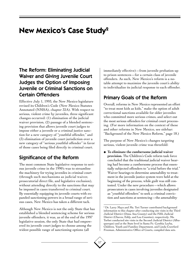## **New Mexico's Case Study2**

## The Reform: Eliminating Judicial Waiver and Giving Juvenile Court Judges the Option of Imposing Juvenile or Criminal Sanctions on Certain Offenders

Effective July 1, 1993, the New Mexico legislature revised its Children's Code (New Mexico Statutes Annotated (NMSA), chapter 32A). With respect to serious, violent crime by juveniles, three significant changes occurred: (1) elimination of the judicial waiver provision, (2) passage of a blended sentencing provision that allows juvenile court judges to impose either a juvenile or a criminal justice sanction for a new category of "youthful offender," and (3) elimination of juvenile court jurisdiction over a new category of "serious youthful offender" in favor of those cases being filed directly in criminal court.

## Significance of the Reform

The most common State legislative response to serious juvenile crime in the 1990's was to streamline the machinery for trying juveniles in criminal court (through such mechanisms as judicial waiver, prosecutorial direct file, and legislative exclusion), without attending directly to the sanctions that may be imposed in cases transferred to criminal court. By essentially equipping its juvenile courts with expanded sanctioning powers in a broad range of serious cases, New Mexico has taken a different tack.

Although New Mexico is not the only State that has established a blended sentencing scheme for serious juvenile offenders, it was, as of the end of the 1997 legislative session, the only State that had empowered its juvenile court judges to choose among the widest possible range of sanctioning options (all

immediately effective)—from juvenile probation up to prison sentences—for a certain class of juvenile offenders. As such, New Mexico's reform is a notable attempt to maximize the juvenile court's ability to individualize its judicial response to each offender.

## Primary Goals of the Reform

Overall, reforms in New Mexico represented an effort "to treat most kids as kids," make the option of adult correctional sanctions available for older juveniles who committed more serious crimes, and select out the most serious offenders for criminal court processing. (For more information on the context of these and other reforms in New Mexico, see sidebar: "Background of the New Mexico Reform," page 18.)

The purpose of New Mexico's changes targeting serious, violent juvenile crime was threefold:

◆ **To eliminate the cumbersome judicial waiver provision.** The Children's Code reform task force concluded that the traditional judicial waiver hearing had become a cumbersome process that essentially subjected offenders to "a trial before the trial." Waiver hearings to determine amenability to treatment in the juvenile justice system were held at the beginning of the process, while guilt was still contested. Under the new procedure—which allows prosecutors in cases involving juveniles designated as "youthful offenders" to seek a criminal conviction and sanctions at sentencing—the amenability

<sup>2</sup> Dr. Larry Mays and Ms. Teri Turner contributed background information to this chapter after conducting site visits in the Third Judicial District (Dona Ana County) and the Fifth Judicial District (Chaves, Eddy, and Lea Counties), respectively. Ms. Torbet conducted site visits in the Second Judicial District (Albuquerque) and at the State level in Santa Fe. Cynthia Leyba, Children, Youth and Families Department, and Linda Crawford Freeman, Administrative Office of Courts, compiled data sets.

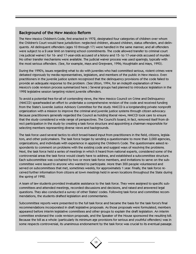#### Background of the New Mexico Reform

The New Mexico Children's Code, first enacted in 1972, designated four categories of children over whom the Children's Court would have jurisdiction: neglected children, abused children, status offenders, and delinquents. All delinquent offenders (ages 10 through 17) were handled in the same manner, and all offenders were subject to a 2-year limit on training school commitments. The code allowed transfer to criminal court (via judicial waiver) for 16- and 17-year-olds accused of a felony and 15- to 17-year-olds accused of murder. No other transfer mechanisms were available. The judicial waiver process was used sparingly, typically with the most serious offenders. (See, for example, Mays and Gregware, 1996; Houghtalin and Mays, 1993).

During the 1990's, issues regarding what to do with juveniles who had committed serious, violent crimes were debated vigorously by media representatives, legislators, and members of the public in New Mexico. Even practitioners in the juvenile justice system recognized that the delinquency provisions of the code failed to provide an adequate response to the problem. (See Utton, 1994, for an indepth explanation of New Mexico's code revision process summarized here.) Several groups had planned to introduce legislation in the 1992 legislative session targeting violent juvenile offenders.

To avoid a potential free-for-all of contending views, the New Mexico Council on Crime and Delinquency (NMCCD) spearheaded an effort to undertake a comprehensive revision of the code and received funding from the State's Juvenile Justice Advisory Committee for the study. NMCCD is a longstanding private nonprofit organization with a mission to improve the criminal and juvenile justice systems through citizen advocacy. Because practitioners generally regarded the Council as holding liberal views, NMCCD took care to ensure that the study considered a wide range of perspectives. The Council's board, in fact, removed itself from direct participation in the study by creating a task force structure and appointing a chairman responsible for selecting members representing diverse views and backgrounds.

The task force used several tactics to elicit broad-based input from practitioners in the field, citizens, legislators, and other policymakers. The task force began by sending a questionnaire to more than 3,000 agencies, organizations, and individuals with experience in applying the Children's Code. The questionnaire asked respondents to comment on problems with the existing code and suggest ways of resolving the problems. Next, the task force held a series of meetings in which it heard from national experts, considered some of the controversial areas the task force would clearly have to address, and established a subcommittee structure. Each subcommittee was cochaired by two or more task force members, and invitations to serve on the subcommittee were issued to anyone who wanted to participate. More than 300 people volunteered and served on subcommittees that met, sometimes weekly, for approximately 1 year. Finally, the task force received further information from citizens at town meetings held in seven locations throughout the State during the spring of 1992.

A team of law students provided invaluable assistance to the task force. They were assigned to specific subcommittees and attended meetings, recorded discussions and decisions, and raised and answered legal questions. They also conducted a survey of other States' codes. Following task force and committee recommendations, the students drafted legislation and commentaries.

Subcommittee reports were presented to the full task force and became the basis for the task force's final recommendations incorporated in draft legislative proposals. As those proposals were formulated, members appeared before interim legislative committees and other groups to explain the draft legislation. An interim committee endorsed the code revision proposals, and the Speaker of the House sponsored the resulting bill. Because the bill as a whole (particularly its minimum age provisions for serious and youthful offenders) was in some respects controversial, its unanimous endorsement by the task force was crucial to its eventual passage.

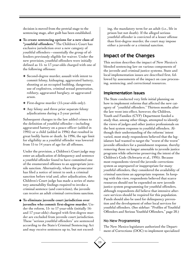decision is moved from the pretrial stage to the sentencing stage, after guilt has been established.

- ◆ **To create sentencing options for a new class of "youthful offenders."** The Children's Court has exclusive jurisdiction over a new category of youthful offenders—essentially the group of offenders previously eligible for waiver. Under the new provision, youthful offenders were initially defined as 15- to 17-year-olds charged with one of the following offenses:
	- ❖ Second-degree murder, assault with intent to commit felony, kidnaping, aggravated battery, shooting at an occupied building, dangerous use of explosives, criminal sexual penetration, robbery, aggravated burglary, or aggravated arson.
	- ❖ First-degree murder (15-year-olds only).
	- ❖ Any felony and three prior separate felony adjudications during a 2-year period.

Subsequent changes to the law added crimes to the definition of youthful offender—including aggravated battery on a peace officer (added in 1995) or a child (added in 1996) that resulted in great bodily harm or death. In 1996, the age limit for eligibility as a youthful offender was lowered from 15 to 14 years of age for all offenses.

Under the provision, a Children's Court judge may enter an adjudication of delinquency and sentence a youthful offender found to have committed one of the enumerated offenses to an appropriate juvenile sanction. Alternatively, where the prosecutor has filed a notice of intent to seek a criminal sanction before trial and, after adjudication, the Children's Court judge has made a series of statutory amenability findings required to invoke a criminal sentence (and conviction), the juvenile can receive an adult criminal corrections sanction.

◆ **To eliminate juvenile court jurisdiction over juveniles who commit first-degree murder.** Under the reform, 15- to 17-year-olds (initially 16 and 17-year-olds) charged with first-degree murder are excluded from juvenile court jurisdiction. These "serious youthful offenders" are sentenced according to the State's Criminal Sentencing Act and may receive sentences up to, but not exceed-

ing, the mandatory term for an adult (i.e., life in prison but not death). If the alleged serious youthful offender is convicted of a lesser offense than first-degree murder, the court may impose either a juvenile or a criminal sanction.

### Impact of the Changes

This section describes the impact of New Mexico's blended sentencing law on various components of the juvenile and criminal justice systems. State and local implementation issues are described first, followed by assessments of the impact on case processing, sentencing, and correctional resources.

#### Implementation Issues

The State conducted very little initial planning on how to implement reforms that affected the new category of "youthful offenders." Thirteen months after the law went into effect, however, the Children, Youth and Families (CYF) Department funded a study that, among other things, attempted to identify the views of judges and other justice professionals on the best system response to youthful offenders. Although their understanding of the reforms' intent varied, most study respondents believed that the legislature had wanted to target the "worst of the worst" juvenile offenders for a punishment response, thereby removing those no longer amenable to juvenile justice programs while otherwise preserving the intent of the Children's Code (Schwartz et al., 1995). Because most respondents viewed the juvenile corrections system as unprepared or inappropriate for many youthful offenders, they considered the availability of criminal sanctions an appropriate response. In keeping with this view, respondents believed that scarce resources should not be expended on new juvenile justice system programming for youthful offenders, although respondents did believe that intensive aftercare services should be required for this population. Funds should also be used for delinquency prevention and the development of other local services for youthful offenders. (See sidebar: "Profiles of Youthful Offenders and Serious Youthful Offenders," page 20.)

#### No New Programming

The New Mexico legislature authorized the Department of Corrections (DOC) to implement specialized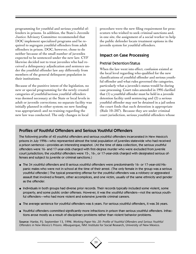programming for youthful and serious youthful offenders in prisons. In addition, the State's Juvenile Justice Advisory Committee recommended that DOC implement specialized programs and be required to segregate youthful offenders from adult offenders in prison. DOC, however, chose to do neither because of the small number of juveniles expected to be sentenced under the new law. CYF likewise decided not to treat juveniles who had received a delinquency adjudication and sentence under the youthful offender law any differently from members of the general delinquent population in their institutions.

Because of the punitive intent of the legislation, no new or special programming for the newly created categories of youthful/serious youthful offenders was deemed necessary at the State or local levels in adult or juvenile corrections; no separate facility was initially planned in either system; no new funding was appropriated; and no training regarding the new law was conducted. The only changes in local

procedure were the new filing requirement for prosecutors who wished to seek criminal sanctions and, in one site, the assignment of a social worker to help the public defender locate treatment options in the juvenile system for youthful offenders.

#### Impact on Case Processing

#### Pretrial Detention/Status

When the law went into effect, confusion existed at the local level regarding who qualified for the new classifications of youthful offender and serious youthful offender and what rules governed the categories, particularly what a juvenile's status would be during case processing. Court rules amended in 1995 clarified that (1) a youthful offender must be held in a juvenile detention facility until sentencing and (2) a serious youthful offender may not be detained in a jail unless the court finds that such detention is appropriate (Rule 10–207). Because they are under criminal court jurisdiction, serious youthful offenders whose

#### Profiles of Youthful Offenders and Serious Youthful Offenders

The following profile of 42 youthful offenders and serious youthful offenders incarcerated in New Mexico's prisons in July 1996—who represented almost the total population of juveniles statewide who had received a prison sentence—provides an interesting snapshot. (At the time of data collection, the serious youthful offenders were 16- and 17-year-olds charged with first-degree murder who were excluded from juvenile court jurisdiction; the youthful offenders were 15-, 16-, or 17-year-olds charged with designated serious offenses and subject to juvenile or criminal sanctions.)

- ◆ The 34 youthful offenders and 8 serious youthful offenders were predominantly 16- or 17-year-old Hispanic males who were not in school at the time of their arrest. (The only female in the group was a serious youthful offender.) The typical presenting offense for the youthful offenders was a robbery or aggravated assault that involved a firearm, other accomplices, and one victim, usually of the same ethnicity and gender as the offender.
- ◆ Individuals in both groups had diverse prior records. Their records typically included some violent, some property, and some public order offenses. However, it was the youthful offenders—not the serious youthful offenders—who had more violent and extensive juvenile criminal careers.
- ◆ The average sentence for youthful offenders was 6 years. For serious youthful offenders, it was 36 years.
- ◆ Youthful offenders committed significantly more infractions in prison than serious youthful offenders. Infractions arose mostly as a result of disciplinary problems rather than violent behavior problems.

**Source:** Hanke, P.J. September 13, 1996. *Working Paper No. 20: Profile of Youthful Offenders and Serious Youthful Offenders in New Mexico's Prisons.* Albuquerque, NM: Institute for Social Research, University of New Mexico.

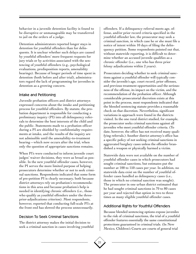behavior in a juvenile detention facility is found to be disruptive or unmanageable may be transferred to jail on the orders of a judge.

Detention administrators reported longer stays in detention for youthful offenders than for delinquents. It is unclear whether such delays are caused by youthful offenders' more frequent requests for jury trials or by activities associated with the sentencing of youthful offenders (e.g., psychological evaluations, predisposition reports, amenability hearings). Because of longer periods of time spent in detention (both before and after trial), administrators regard the lack of programming for juveniles in detention as a growing concern.

#### Intake and Petitioning

Juvenile probation officers and district attorneys expressed concerns about the intake and petitioning process for youthful offenders. By statute, the probation department is responsible for conducting a preliminary inquiry (PI) into all delinquency referrals to determine the best interests of the child and the public. Statements made to a probation officer during a PI are shielded by confidentiality requirements at intake, and the results of the inquiry are not admissible until the amenability-to-treatment hearing—which now occurs after the trial, when only the question of appropriate sanctions remains.

When PI's were conducted to inform juvenile court judges' waiver decisions, they were as broad as possible. In the new youthful offender cases, however, the PI serves the more limited purpose of helping prosecutors determine whether or not to seek criminal sanctions. Respondents indicated that some form of pre-petition PI is clearly necessary, both because district attorneys rely on probation's recommendations in this area and because probation's help is needed in identifying chronic offenders (i.e., those who qualify as youthful offenders under the threeprior-adjudications criterion). Most respondents, however, reported that conducting full-scale PI's at the front end has slowed the process unnecessarily.

#### Decision To Seek Criminal Sanctions

The district attorney makes the initial decision to seek a criminal sanction in cases involving youthful

offenders. If a delinquency referral meets age, offense, and/or prior record criteria specified in the youthful offender law, the prosecutor may seek a criminal sanction, in which case he or she must file a notice of intent within 10 days of filing the delinquency petition. Some respondents pointed out that, without statewide reporting, it is difficult to determine whether an accused juvenile qualifies as a chronic offender (i.e., one who has three prior felony adjudications within 2 years).

Prosecutors deciding whether to seek criminal sanctions against a youthful offender will typically consider the juvenile's age, court record, prior offenses, and previous treatment opportunities and the seriousness of the offense, its impact on the victim, and the recommendation of the probation officer. Although considerable prosecutorial discretion exists at this point in the process, most respondents indicated that the blended sentencing statute provides a reasonable check on that discretion. Nevertheless, significant variations in approach were found in the districts visited. In the one rural district studied, for example, the prosecutor seeks criminal sanctions against all juveniles who meet youthful offender criteria. (To date, however, the office has not received many qualifying referrals.) Another district attorney's office has a specific policy of not seeking criminal sanctions in aggravated burglary cases unless the offender brandished a weapon or physically harmed a victim.

Statewide data were not available on the number of youthful offender cases in which prosecutors had sought criminal sanctions, but estimates put the number at 100 to 150 cases per year. In addition, no statewide data exist on the number of youthful offender cases handled as delinquency cases (i.e., those in which no criminal sanction was sought). The prosecutor in one urban district estimated that he had sought criminal sanctions in 70 to 80 cases per year and rejected that option in two to three times as many eligible youthful offender cases.

#### Additional Rights for Youthful Offenders

Because blended sentencing options expose juveniles to the risk of criminal sanctions, the trial of a youthful offender features essentially the same constitutional protections guaranteed in criminal trials. (In New Mexico, Children's Courts are courts of general trial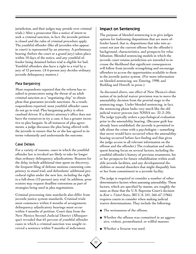jurisdiction, and their judges may preside over criminal trials.) After a prosecutor files a notice of intent to seek a criminal sanction, in fact, the juvenile petition is closed and the rules of criminal procedure apply. The youthful offender (like all juveniles who appear in court) is represented by an attorney. A preliminary hearing (before the court or a grand jury) takes place within 10 days of the notice, and any youthful offender being detained before trial is eligible for bail. Youthful offenders also have a right to a trial by a jury of 12 persons. (A 6-person jury decides ordinary juvenile delinquency matters.)

#### Plea Bargaining

Most respondents reported that the reform has resulted in prosecutors using the threat of an adult criminal sanction as a "negotiating chip" to obtain pleas that guarantee juvenile sanctions. As a result, respondents reported, most youthful offender cases do not go to trial. Plea bargaining policy is often caseload driven: If a district attorney's office does not have the resources to try a case, it has a greater incentive to plea bargain. In all instances of plea agreements, a judge discusses the plea being offered with the juvenile to ensure that he or she has agreed to its terms voluntarily and understands the outcome.

#### Case Delays

For a variety of reasons, cases in which the youthful offender law is invoked are likely to take far longer than ordinary delinquency adjudications. Reasons for the delay include additional time spent on discovery, the frequent filing of defense motions contesting competency to stand trial, and defendants' additional procedural rights under the new law, including the right to a full-dress (12-person) jury trial. In addition, prosecutors may request deadline extensions as part of strategies being used in plea negotiations.

Criminal processing time standards also differ from juvenile justice system standards. Criminal trials must commence within 6 months of arraignment; delinquency adjudicatory hearings must occur within 4 months of petition. Court data from the New Mexico Second Judicial District (Albuquerque) revealed that 65 percent of youthful offender cases in which a criminal sanction was sought received a sentence within 9 months of indictment.

#### Impact on Sentencing

The purpose of blended sentencing is to give judges options for fashioning dispositions that are more offender based, that is, dispositions that take into account not just the current offense but the offender's background, characteristics, and prospects for rehabilitation. Blended sentencing models in which the juvenile court retains jurisdiction are intended to increase the likelihood that significant consequences will follow from juvenile wrongdoing and encourage offenders to access the opportunities available to them in the juvenile justice system. (For more information on blended sentencing, see Zimring, 1998; and Redding and Howell, in press.)

As discussed above, one effect of New Mexico's elimination of its judicial waiver provision was to move the amenability decision from the pretrial stage to the sentencing stage. Under blended sentencing, in fact, the sentencing phase looks very much like the old judicial waiver process (see NMSA sec. 32–2–20). The judge typically orders a psychological evaluation prior to the amenability hearing. (Because guilt has already been established, the juvenile is permitted to talk about the crime with a psychologist—something that never would have occurred when the amenability hearing occurred before fact-finding and that gives the judge access to all relevant information on the offense and the offender.) The evaluation and subsequent hearing focus on several factors, including the youthful offender's history of previous treatments, his or her prospects for future rehabilitation within available juvenile facilities, and any developmental disabilities or mental disorders that might disqualify him or her from commitment to a juvenile facility.

The judge is required to consider a number of other determinative factors when assessing amenability. These factors, which are specified by statute, are roughly the same as those that the U.S. Supreme Court's decision in *Kent* v. *United States,* 383 U.S. 541, 566–67 (1966) requires courts to consider when making judicial waiver determinations. They include the following:

- ◆ The seriousness of the offense.
- ◆ Whether the offense was committed in an aggressive, violent, premeditated, or willful manner.
- ◆ Whether a firearm was used.

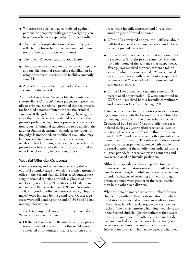- ◆ Whether the offense was committed against persons or property, with greater weight given to person offenses, especially if injury resulted.
- ◆ The juvenile's sophistication and maturity (as reflected by his or her home environment, emotional attitude, and pattern of living).
- ◆ The juvenile's record and previous history.
- ◆ The prospects for adequate protection of the public and the likelihood of reasonable rehabilitation by using procedures, services, and facilities currently available.
- ◆ Any other relevant factor, provided that it is stated on the record.

As noted above, New Mexico's blended sentencing statute allows Children's Court judges to impose juvenile or criminal sanctions—provided that the prosecutor has filed a notice of intent to seek the criminal sanction. If the judge at the amenability hearing decides that juvenile sanctions should be applied, the juvenile probation department prepares a predisposition report. If criminal sanctions are to be applied, the adult probation department completes the report. If the judge is undecided, an additional evaluation may be requested to focus on the juvenile's treatment needs and level of "dangerousness" (i.e., whether the juvenile can be treated safely on probation and, if not, what level of security he or she requires).

#### Youthful Offender Outcomes

Case processing and sentencing data compiled on youthful offender cases in which the district attorney's office in the Second Judicial District (Albuquerque) sought criminal sanctions provide a glimpse of how one locality is applying New Mexico's blended sentencing law. Between January 1995 and November 1998, 211 youthful offender cases (primarily Hispanic males) were indicted by the grand jury. Of these, 26 cases were still pending at the end of 1998 and 19 had missing information.

In the 166 completed cases, 139 were convicted and 27 were otherwise dismissed.

◆ Of the 139 convicted, 104 entered a guilty plea or were convicted of a youthful offense, 34 were convicted of or admitted to a lesser offense and

received a juvenile sentence, and 1 received another type of formal outcome.

- ◆ Of the 104 convicted of a youthful offense, about half (53) received a criminal sanction and 51 received a juvenile sanction.
- ◆ Of the 53 who received a criminal sanction, only 5 received a "straight prison sentence" (i.e., one for which none of the sentence was suspended). Twenty-two received a prison sentence (all or some of which was suspended), 24 were placed on adult probation with or without a suspended sentence, and 2 received jail and a suspended sentence or parole.
- $\blacklozenge$  Of the 51 who received a juvenile sanction, 32 were placed on probation, 18 were committed to CYF, and 1 received both a juvenile commitment and probation (see figure 5, page 24).

Data from the other two study sites provide interesting comparisons with the Second Judicial District's sentencing decisions. In the other urban site (Las Cruces), all but 1 of the 15 youthful offender cases indicted during a 2-year period received a juvenile sanction. (Ten received probation, three were committed to CYF, and one received both a juvenile commitment and probation.) The sole criminal-sanctioned case received a suspended sentence with parole. In the rural district, of the six offenders indicted during a 1-year period, four received prison sentences and two were placed on juvenile probation.

Although suspended sentences, parole time, and time-served computations made it difficult to calculate the exact length of adult sentences received, an offender's chances of receiving a 9-year or longer prison sentence were greater in the rural district than in the other two districts.

What the data do not reflect is the number of cases eligible for youthful offender designation for which the district attorney did not seek an adult sanction. These cases, handled as delinquency cases, are not tracked. The district attorney handling juvenile cases in the Second Judicial District estimates that two to three times more youthful offender cases in that district are handled as juvenile cases than actually receive a notice of intent to seek an adult sanction. Information on exactly how many cases are handled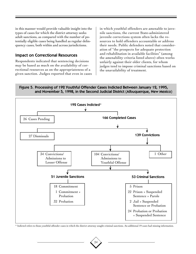in this manner would provide valuable insight into the types of cases for which the district attorney seeks adult sanctions, as compared with the number of potentially eligible cases being handled as regular delinquency cases, both within and across jurisdictions.

#### Impact on Correctional Resources

Respondents indicated that sentencing decisions may be based as much on the availability of correctional resources as on the appropriateness of a given sanction. Judges reported that even in cases

in which youthful offenders are amenable to juvenile sanctions, the current State-administered juvenile corrections system often lacks the resources to hold offenders accountable or address their needs. Public defenders noted that consideration of "the prospects for adequate protection and rehabilitation in available facilities" (among the amenability criteria listed above) often works unfairly against their older clients, for whom judges tend to impose criminal sanctions based on the unavailability of treatment.

#### Figure 5. Processing of 192 Youthful Offender Cases Indicted Between January 12, 1995, and November 5, 1998, in the Second Judicial District (Albuquerque, New Mexico)



\* Indicted refers to those youthful offender cases in which the district attorney sought criminal sanctions. An additional 19 cases had missing information.

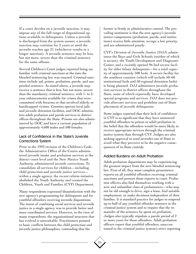If a court decides on a juvenile sanction, it may impose any of the full range of dispositional options available to delinquents. Unless a juvenile is discharged from the system sooner, a juvenile sanction may continue for 2 years or until the juvenile reaches age 21 (whichever results in a longer sanction). A juvenile sentence may be less, but not more, severe than the criminal sentence for the same offense.

Several Children's Court judges reported being unfamiliar with criminal sanctions at the time the blended sentencing law was enacted. Criminal sanctions include jail, prison, probation, parole, and suspended sentence. As stated above, a juvenile may receive a sentence that is less, but not more, severe than the mandatory criminal sentence, with 1- to 2 year enhancements available for crimes that were committed with firearms or that involved elderly or handicapped victims. Counties operate local jails and juvenile detention facilities, and DOC administers adult probation and parole services in district offices throughout the State. Prisons are also administered by DOC and have a current population of approximately 4,600 males and 500 females.

#### Lack of Confidence in the State's Juvenile Corrections System

Prior to the 1993 revision of the Children's Code, the Administrative Office of the Courts administered juvenile intake and probation services at the district court level and the New Mexico Youth Authority administered juvenile corrections. To consolidate all services for children—including child protection and juvenile justice services within a single agency, the recent reform initiative abolished the Youth Authority and created the Children, Youth and Families (CYF) Department.

Many respondents expressed dissatisfaction with the new agency's programming for delinquents and for youthful offenders receiving juvenile dispositions. The intent of combining social services and juvenile justice in a single agency was to provide better and more coordinated services. However, in the view of many respondents, the organizational structure that has evolved is unworkable. Practitioners pointed to basic conflicts between the child protection and juvenile justice philosophies, contending that the

former is firmly in administrative control. The prevailing sentiment is that the new agency's juvenile justice components (probation, parole, and institutions) receive little attention, occupy a low priority, and are administered poorly.

CYF's Division of Juvenile Justice (DJJ) administers the Boys and Girls Schools (neither of which is secure), the Youth Development and Diagnostic Center, and a recently opened 96-bed secure facility for older felony delinquents—for a total capacity of approximately 500 beds. A secure facility for the southern counties (which will include 50–60 institutional beds and 50 regional detention beds) is being planned. DJJ administers juvenile probation services in district offices throughout the State, some of which reportedly have developed special programs and services. DJJ does not provide aftercare services and prohibits out-of-State placement of juvenile delinquents.

Some judges reported that their lack of confidence in CYF is so significant that they have sentenced youthful offenders to prison or adult probation in the belief that the offenders would be more likely to receive appropriate services through the criminal justice system than through CYF. Judges are also seeking approval to send juveniles out of State to avoid what they perceive to be the negative consequences of in-State custody.

#### Added Burdens on Adult Probation

Adult probation departments may be experiencing the greatest impact from the new blended sentencing law. First of all, they must complete presentence reports on all youthful offenders receiving criminal sanctions and present those reports in court. Probation officers also find themselves working with a new and unfamiliar class of probationers—who may not be old enough to drive, sign a lease, find suitable employment, or make decisions independent of their families. It is standard practice for judges to suspend up to half of any youthful offender sentence in the criminal justice system and to require that the remainder of the sentence be spent on probation. Judges also typically stipulate a parole period of 2 or more years for these offenders. Adult probation officers report that youthful offenders, unaccustomed to the criminal justice system's strict reporting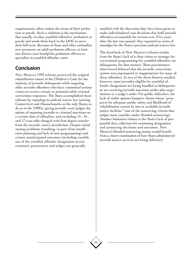requirements, often violate the terms of their probation or parole. Such a violation is the mechanism that usually revokes youthful offenders' probation or parole and sends them back to the DOC to serve their full term. Because of these and other unfamiliar new pressures on adult probation officers, at least one district now handpicks probation officers to specialize in youthful offender cases.

### Conclusion

New Mexico's 1993 reforms preserved the original rehabilitative intent of the Children's Code for the majority of juvenile delinquents while targeting older juvenile offenders who have committed serious crimes to receive certain or potential adult criminal corrections responses. The State accomplished these reforms by repealing its judicial waiver law (joining Connecticut and Massachusetts as the only States to do so in the 1990's), giving juvenile court judges the option of imposing juvenile or criminal sanctions on a certain class of offenders, and excluding 15-, 16-, and 17-year-olds charged with first-degree murder from the juvenile court's jurisdiction. Despite initial startup problems (resulting, in part, from insufficient planning and lack of new programming) and certain unanticipated outcomes (including variable use of the youthful offender designation across counties), prosecutors and judges are generally

26

satisfied with the discretion they have been given to make individualized case decisions that hold juvenile offenders accountable for serious acts. Five years after the law was passed, they reported no sense of nostalgia for the State's previous judicial waiver law.

The drawback of New Mexico's reforms results from the State's lack of a clear vision or strategy for correctional programming for youthful offenders (or delinquents, for that matter). Most practitioners interviewed believed that the juvenile corrections system was unprepared or inappropriate for many of these offenders. In two of the three districts studied, however, most juveniles eligible for youthful offender designation are being handled as delinquents or are receiving juvenile sanctions under plea negotiations or a judge's order. For public defenders, the lack of viable options hampers clients whose "prospects for adequate public safety and likelihood of rehabilitation cannot be met in available juvenile justice facilities" (one of the sentencing criteria that judges must consider under blended sentencing). Another limitation relates to the State's lack of purposeful data collection for examining designation and sentencing decisions and outcomes. New Mexico's blended sentencing statute would benefit from a closer examination of how State-administered juvenile justice services are being delivered.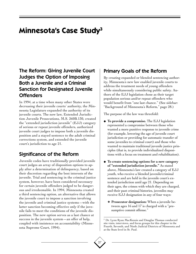## **Minnesota's Case Study3**

## The Reform: Giving Juvenile Court Judges the Option of Imposing Both a Juvenile and a Criminal Sanction for Designated Juvenile **Offenders**

In 1994, at a time when many other States were decreasing their juvenile courts' authority, the Minnesota Legislature expanded the authority of its juvenile courts. The new law, Extended Jurisdiction Juvenile Prosecutions, M.S. 260B.130, created the "extended jurisdiction juvenile" (EJJ) category of serious or repeat juvenile offenders, authorized juvenile court judges to impose both a juvenile disposition and a stayed sentence to the adult criminal corrections system, and extended the juvenile court's jurisdiction to age 21.

## Significance of the Reform

Juvenile codes have traditionally provided juvenile court judges an array of disposition options to apply after a determination of delinquency, based on their discretion regarding the best interests of the juvenile. Trial and sentencing in the criminal justice system, however, have been considered necessary for certain juvenile offenders judged to be dangerous and irredeemable. In 1994, Minnesota created a third sentencing option, an alternative that allows the juvenile court to impose a sanction involving the juvenile and criminal justice systems—with the latter sanction becoming effective only if the juvenile fails to meet the conditions of the juvenile disposition. The new option serves as a last chance at success in the juvenile system—an offer of help, coupled with insistence on accountability (Minnesota Supreme Court, 1994).

### Primary Goals of the Reform

By creating expanded or blended sentencing authority, Minnesota's new law enabled juvenile courts to address the treatment needs of young offenders while simultaneously considering public safety. Authors of the EJJ legislation chose as their target population serious and/or repeat offenders who would benefit from "one last chance." (See sidebar: "Background of Minnesota's Reform," page 28.)

The purpose of the law was threefold:

- ◆ **To provide a compromise.** The EJJ legislation represented a compromise between those who wanted a more punitive response to juvenile crime (for example, lowering the age of juvenile court jurisdiction or providing for automatic transfer of some juveniles to criminal court) and those who wanted to maintain traditional juvenile justice principles (that is, to provide individualized dispositions with a focus on treatment and rehabilitation).
- ◆ **To create sentencing options for a new category of "extended jurisdiction juvenile."** As stated above, Minnesota's law created a category of EJJ youth, who receive a blended juvenile/criminal sentence and are held in the juvenile court's extended jurisdiction until age 21. Depending on their ages, the crimes with which they are charged, and their past criminal histories, juveniles may receive EJJ designation in any of four ways:
	- ❖ **Prosecutor designation:** When a juvenile between ages 16 and 17 is charged with a "presumptive commit offense."

<sup>&</sup>lt;sup>3</sup> Dr. Lynn Ryan MacKenzie and Douglas Thomas conducted site visits, interviews, and focus groups for this chapter in the Fourth, Seventh, and Ninth Judicial Districts of Minnesota and at the State level in St. Paul.

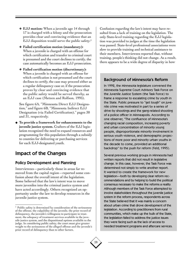- ❖ **EJJ motion:** When a juvenile age 14 through 17 is charged with a felony and the prosecution provides clear and convincing evidence that an EJJ disposition would serve the public safety.4
- ❖ **Failed certification motion (mandatory):** When a juvenile is charged with an offense for which certification and transfer to criminal court is presumed and the court declines to certify, the case automatically becomes an EJJ prosecution.
- ❖ **Failed certification motion (discretionary):** When a juvenile is charged with an offense for which certification is not presumed and the court declines to certify, the case may proceed either as a regular delinquency case or, if the prosecution proves by clear and convincing evidence that the public safety would be served thereby, as an EJJ case (Metzen and Rolfson, 1995).

See figure 6A, "Minnesota Direct EJJ Designation," and figure 6B, "Minnesota Indirect EJJ Designation (via Failed Certification)," pages 30 and 31, respectively.

◆ **To provide a framework for enhancements to the juvenile justice system.** Crafters of the EJJ legislation recognized the need to expand resources and programming for this population through a subsidy to counties for delivering or purchasing services for each EJJ-designated youth.

## Impact of the Changes

#### Policy Development and Planning

Interviewees—particularly those in areas far removed from the capital region—reported some confusion about the overall intent of the legislation. Some believed that the law's intent was to move more juveniles into the criminal justice system and have acted accordingly. Others recognized an opportunity under the law to develop resources in the juvenile justice system.

Confusion regarding the law's intent may have resulted from a lack of training on the legislation. The only State-level training regarding the EJJ legislation was provided to judges at the time the legislation was passed. State-level professional associations were slow to provide training and technical assistance to their members. Interviewees reported that, without training, people's thinking did not change. As a result, there appears to be a wide degree of disparity in how

#### Background of Minnesota's Reform

In 1992, the Minnesota legislature convened the Minnesota Supreme Court Advisory Task Force on the Juvenile Justice System (the Task Force) to frame a response to escalating crime by youth in the State. Public pressure to "get tough" on juvenile crime was motivated in part by a series of drive-by shootings and the gang-related shooting of a police officer in Minneapolis. According to one observer, "The confluence of Minnesota's changing racial composition, increasing poverty and urban concentration of minority young people, disproportionate minority involvement in serious youth violence, and demographic projections of more poor and minority urban youths in the decade to come, provided an additional backdrop" to the push for reform (Feld, 1995).

Several previous working groups in Minnesota had written reports that did not result in legislative change. In this case, however, the Task Force was determined not simply to write another report. It wanted to create the framework for new legislation—both by developing clear reform recommendations and by helping to build the political consensus necessary to make the reforms a reality. Although members of the Task Force attempted to involve stakeholders throughout the juvenile justice system in the reform process, respondents across the State believed that it was mainly a concern about urban crime that drove development of the legislation. According to practitioners from rural communities, which make up the bulk of the State, the legislation failed to address the justice issues they were facing such as the lack of access to needed treatment programs and aftercare services.

<sup>4</sup> Public safety is determined by consideration of the seriousness of the offense, the culpability of the juvenile, the prior record of delinquency, the juvenile's willingness to participate in treatment, the adequacy of treatment services available in the juvenile justice system, and the dispositional options available to the judge. In considering public safety, the court must give greater weight to the seriousness of the alleged offense and the juvenile's prior record of delinquency than to other factors.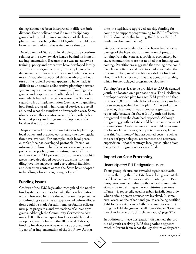the legislation has been interpreted in different jurisdictions. Some believed that if a multidisciplinary group had headed up implementation of the law, the philosophy underlying the EJJ legislation could have been transmitted into the system more directly.

Development of State and local policy and procedure relating to the new law also lagged behind its immediate implementation. Because there was no statewide training, policy and procedure have developed locally within various organizations (for example, in police departments, prosecutor's offices, and detention centers). Respondents reported that the adversarial nature of the judicial system appears to have made it difficult to undertake collaborative planning between system players in some communities. Planning, programs, and responses were often developed in isolation, which has led to variation across the State with regard to EJJ implementation (such as who qualifies, how funds are used, what range of services are available, and what the standards of revocation are). Some observers see this variation as a problem; others believe that policy and program development at the local level is appropriate.

Despite the lack of coordinated statewide planning, local policy and practice concerning the new legislation have evolved. For example, each local prosecutor's office has developed protocols (formal or informal) on how to handle serious juvenile cases; police are reportedly investigating major offenses with an eye to EJJ prosecution and, in metropolitan areas, have developed separate divisions for handling juvenile suspects; and correctional facilities and detention centers across the State have adapted to handling a broader age range of youth.

#### Funding Issues

Crafters of the EJJ legislation recognized the need to fund systemic resources to make the new legislation work. However, because the legislation was passed in a nonfunding year, a 1-year gap existed before allocations could be made for additional probation officers, new pilot programs, and evaluations of current programs. Although the Community Corrections Act made \$20 million in capital funding available to develop local secure beds in the 10 judicial districts, funding for direct services was not approved until 1 year after implementation of the EJJ law. At that

time, the legislature approved subsidy funding for counties to support programming for EJJ offenders. DOC administers this funding (\$7,815 per EJJ offender, as discussed below).

Many interviewees identified the 1-year lag between passage of the legislation and initiation of program funding from the State as a problem, particularly because communities were not notified that funding was coming. Practitioners suggested that the lag time could have been better used if localities had anticipated the funding. In fact, most practitioners did not find out about the EJJ subsidy until it was actually available, which further delayed program development.

Funding for services to be provided to EJJ-designated youth is allocated on a per-case basis. The jurisdiction develops a service plan for each EJJ youth and then receives \$7,815 with which to deliver and/or purchase the services specified by that plan. At the end of the first year, this amount was increased significantly, reportedly because far fewer EJJ youth had been designated than the State had expected. Although designating youth as EJJ could be seen as a means of drawing down State resources that would otherwise not be available, focus group participants explained that this "soft money" had associated costs—such as the cost of psychological assessments and aftercare supervision—that discourage local jurisdictions from using EJJ designation to secure funds.

### Impact on Case Processing

#### Unanticipated EJJ Designation Issues

Focus group discussions revealed significant variations in the way that the EJJ law is being used at the local level across Minnesota. Most notably, the EJJ designation—which relies partly on local community standards in defining what constitutes a serious offense—is reportedly used in urban jurisdictions only when serious person offenses are involved. In some rural areas, on the other hand, youth are being certified EJJ for property crimes. Other communities are not using the EJJ designation at all. (See sidebar: "Community Standards and EJJ Implementation," page 32.)

In addition to these designation disparities, the profile of youth receiving EJJ designations appears much different from what the legislature anticipated.

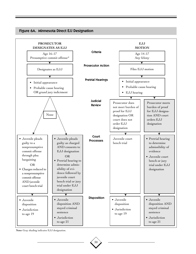

#### Figure 6A. Minnesota Direct EJJ Designation

**Note:** Gray shading indicates EJJ designation.

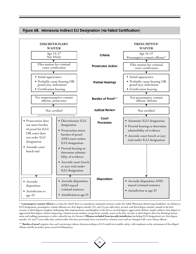

Figure 6B. Minnesota Indirect EJJ Designation (via Failed Certification)

\* **A presumptive commit offense** is a crime for which there is a mandatory minimum sentence under the Adult Minnesota Sentencing Guidelines. In relation to EJJ designation, presumptive commit offenses are: first-degree murder (14- and 15-year-olds only); second- and third-degree murder; assault in the first, second, or third degree; burglary; kidnaping; false imprisonment; manslaughter in the first or second degree; aggravated robbery; simple robbery; first-degree or aggravated first-degree witness tampering; criminal sexual conduct; escape from custody; arson in the first, second, or third degree; drive-by shooting; harassment and stalking; possession or other unlawful use of a firearm. **Offenses excluded from juvenile jurisdiction** (including EJJ designation) are: first-degree murder, 16- and 17-year-olds only, and juveniles who have previously been convicted in criminal court and are charged with a new felony offense.

\*\* Burden of proof requires clear and convincing evidence that proceeding as EJJ would serve public safety, with emphasis on the seriousness of the alleged offense and the juvenile's prior record of delinquency.

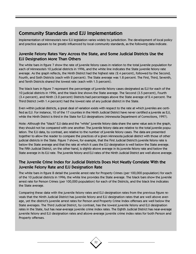## Community Standards and EJJ Implementation

Implementation of Minnesota's new EJJ legislation varies widely by jurisdiction. The development of local policy and practice appears to be greatly influenced by local community standards, as the following data indicate.

#### Juvenile Felony Rates Vary Across the State, and Some Judicial Districts Use the EJJ Designation More Than Others

The white bars in figure 7 show the rate of juvenile felony cases in relation to the total juvenile population for each of Minnesota's 10 judicial districts in 1996, and the white line indicates the State juvenile felony rate average. As the graph reflects, the Ninth District had the highest rate (2.4 percent), followed by the Second, Fourth, and Sixth Districts (each with 2 percent). The State average was 1.8 percent. The First, Third, Seventh, and Tenth Districts shared the lowest rate (each with 1.5 percent).

The black bars in figure 7 represent the percentage of juvenile felony cases designated as EJJ for each of the 10 judicial districts in 1996, and the black line shows the State average. The Second (3.5 percent), Fourth (3.4 percent), and Ninth (3.2 percent) Districts had percentages above the State average of 2.4 percent. The Third District (with 1.4 percent) had the lowest rate of any judicial district in the State.

Even within judicial districts, a great deal of variation exists with respect to the rate at which juveniles are certified as EJJ. For instance, 10 of the 17 counties in the Ninth Judicial District have never certified a juvenile as EJJ, while the Ninth District is third in the State for EJJ designations (Minnesota Department of Corrections, 1997).

Note: Although the "black" EJJ data and the "white" juvenile felony data share the same value axis in the graph, they should not be compared with one another. The juvenile felony data are relative to the total juvenile population. The EJJ data, by contrast, are relative to the number of juvenile felony cases. The data are presented together to allow the reader to compare the practices of a given Minnesota judicial district with those of other judicial districts in the State. Figure 7 shows, for example, that the First Judicial District's juvenile felony rate is below the State average and that the rate at which it uses the EJJ designation is well below the State average. The Fifth Judicial District, on the other hand, is slightly above average in its juvenile felony rate and below the State average in its EJJ rate. The juvenile felony and EJJ rates of the Ninth Judicial District are well above average.

#### The Juvenile Crime Index for Judicial Districts Does Not Neatly Correlate With the Juvenile Felony Rate and EJJ Designation Rate

The white bars in figure 8 detail the juvenile arrest rate for Property Crimes (per 100,000 population) for each of the 10 judicial districts in 1996; the white line provides the State average. The black bars show the juvenile arrest rate for Person Crimes (per 100,000 population) for each of the Districts, and the black line indicates the State average.

Comparing these data with the juvenile felony rates and EJJ designation rates from the previous figure reveals that the Ninth Judicial District has juvenile felony and EJJ designation rates that are well above average, yet the district's juvenile arrest rates for Person and Property Crime Index offenses are well below the State averages. The Third Judicial District, by contrast, has the lowest juvenile felony and EJJ designation rates in the State, but has near-average juvenile crime index rates. The Eighth Judicial District has near-average juvenile felony and EJJ designation rates and above-average juvenile crime index rates for both Person and Property offenses.

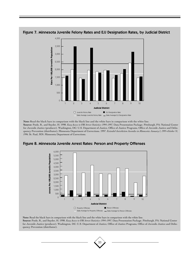

Figure 7. Minnesota Juvenile Felony Rates and EJJ Designation Rates, by Judicial District

**Note:** Read the black bars in comparison with the black line and the white bars in comparison with the white line. **Source:** Poole, R., and Snyder, H. 1998. *Easy Access to FBI Arrest Statistics: 1994–1997.* Data Presentation Package. Pittsburgh, PA: National Center for Juvenile Justice (producer). Washington, DC: U.S. Department of Justice, Office of Justice Programs, Office of Juvenile Justice and Delinquency Prevention (distributor); Minnesota Department of Corrections. 1997. *Extended Jurisdiction Juveniles in Minnesota: January 1, 1995–October 31, 1996.* St. Paul, MN: Minnesota Department of Corrections.



#### Figure 8. Minnesota Juvenile Arrest Rates: Person and Property Offenses

**Note:** Read the black bars in comparison with the black line and the white bars in comparison with the white line. **Source:** Poole, R., and Snyder, H. 1998. *Easy Access to FBI Arrest Statistics: 1994–1997.* Data Presentation Package. Pittsburgh, PA: National Center for Juvenile Justice (producer). Washington, DC: U.S. Department of Justice, Office of Justice Programs, Office of Juvenile Justice and Delinquency Prevention (distributor).

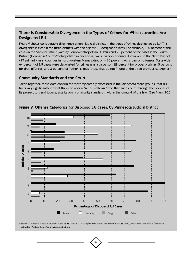#### There Is Considerable Divergence in the Types of Crimes for Which Juveniles Are Designated EJJ

Figure 9 shows considerable divergence among judicial districts in the types of crimes designated as EJJ. This divergence is clear in the three districts with the highest EJJ designation rates. For example, 100 percent of the cases in the Second District (Ramsey County/metropolitan St. Paul) and 78 percent of the cases in the Fourth District (Hennepin County/metropolitan Minneapolis) were person offenses. However, in the Ninth District (17 primarily rural counties in northwestern Minnesota), only 20 percent were person offenses. Statewide, 64 percent of EJJ cases were designated for crimes against a person, 28 percent for property crimes, 5 percent for drug offenses, and 3 percent for "other" crimes (those that do not fit one of the three previous categories).

#### Community Standards and the Court

Taken together, these data confirm the view repeatedly expressed in the Minnesota focus groups: that districts vary significantly in what they consider a "serious offense" and that each court, through the policies of its prosecutors and judges, sets its own community standards, within the context of the law. (See figure 10.)



Figure 9. Offense Categories for Disposed EJJ Cases, by Minnesota Judicial District

**Source:** Minnesota Supreme Court. April 1998. *Statistical Highlights: 1996 Minnesota State Courts.* St. Paul, MN: Research and Information Technology Office, State Court Administration.

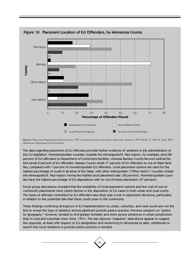

Figure 10. Placement Location of EJJ Offenders, by Minnesota County

**Source:** Minnesota Department of Corrections. 1997. *Extended Jurisdiction Juveniles in Minnesota: January 1, 1995–October 31, 1996.* St. Paul, MN: Minnesota Department of Corrections.

The data regarding placement of EJJ offenders provide further evidence of variations in the administration of the EJJ legislation. Nonmetropolitan counties (outside the Minneapolis/St. Paul region), for example, send 28 percent of EJJ offenders to Department of Corrections facilities, whereas Ramsey County/Second Judicial District sends 2 percent of EJJ offenders. Ramsey County sends 71 percent of EJJ offenders to out-of-State facilities, compared with 7 percent of nonmetropolitan EJJ offenders. Local placement options are used for the highest percentage of youth in all areas of the State, with other metropolitan ("Other Metro") counties (inside the Minneapolis/St. Paul region) having the highest local placement rate (58 percent). Nonmetropolitan counties have the highest percentage of EJJ dispositions with no out-of-home placement (27 percent).

Focus group discussions revealed that the availability of local placement options and the cost of out-ofcommunity placements were clearly factors in the disposition of EJJ cases in both urban and rural courts. The types of offenses committed by EJJ offenders also likely play a role in placement decisions, particularly in relation to the potential risks that these youth pose to the community.

These findings confirming divergence in EJJ implementation by urban, suburban, and rural courts are not the first to reveal this type of variation among significant juvenile justice practice. Previous research on "justice by geography," however, tended to find greater formality and more severe sentences in urban jurisdictions than in rural and suburban ones (Feld, 1991). The less rigorous "snapshot" data above appear to suggest the opposite, at least with respect to EJJ designation and sentencing in Minnesota to date. Additional research into local variations in juvenile justice practice is needed.

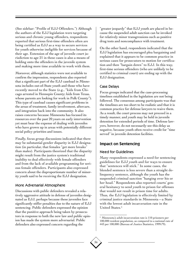(See sidebar: "Profile of EJJ Offenders.") Although the authors of the EJJ legislation were targeting serious and chronic young offenders, respondents reported that serious first-time offenders often are being certified as EJJ as a way to secure services for youth otherwise ineligible for services because of their age. Extension of the age of juvenile court jurisdiction to age 21 in these cases is also a means of holding onto the offenders in the juvenile system and making more time available to work with them.

Moreover, although statistics were not available to confirm the impression, respondents also reported that a significant part of the EJJ caseload in Minnesota includes out-of-State youth and those who have recently moved to the State (e.g., "kids from Chicago arrested in Hennepin County; kids from Texas, whose parents are looking for work in Polk County"). This type of caseload causes significant problems in the areas of treatment, family involvement, aftercare, and integration back into the community. It also raises concerns because Minnesota has focused its resources over the past 20 years on early intervention yet must bear the expense of dealing with juveniles who have grown up in areas with potentially different social policy priorities and issues.

Finally, focus group discussions indicated that there may be substantial gender disparity in EJJ designation (in particular, that females "get more breaks" than males). Participants theorized that the disparity might result from the justice system's traditional inability to deal effectively with female offenders and from the lack of available programming for serious female offenders. Participants also expressed concern about the disproportionate number of minority youth said to be receiving the EJJ designation.

#### More Adversarial Atmosphere

Discussions with public defenders revealed a relatively aggressive attitude in defense of juveniles designated as EJJ, perhaps because these juveniles face significantly stiffer penalties due to the nature of EJJ sentencing. Public defenders expressed the opinion that the punitive approach being taken by prosecutors in response to both the new law and public opinion has made the system more adversarial. Public defenders also expressed concern regarding the

"greater jeopardy" that EJJ youth are placed in because the suspended adult sanction can be invoked for relatively minor transgressions such as positive drug tests and noncompliance with treatment.

On the other hand, respondents indicated that the EJJ legislation has encouraged plea bargaining and explained that it appears to be common practice in serious cases for prosecutors to motion for certification and then "bargain down" to EJJ. In this way, first-time serious offenders (who are unlikely to be certified to criminal court) are ending up with the EJJ designation.

#### Case Delays

Focus groups indicated that the case-processing timelines established in the legislation are not being followed. The consensus among participants was that the timelines are too short to be realistic and that it is common practice for defense lawyers to waive them. As a result, the court process may not proceed in a timely manner, and youth may be held in juvenile detention for extended periods of time. Defense lawyers, however, do not necessarily see this delay as negative, because youth often receive credit for "time served" in juvenile detention facilities.

#### Impact on Sentencing

#### Need for Guidelines

Many respondents expressed a need for sentencing guidelines for EJJ youth and for ways to ensure that "sentences will stick." In some cases, the blended sentence is less severe than a straight delinquency sentence, although the youth has the suspended criminal sanction "hanging over his or her head." Respondents also reported courts' general hesitancy to send youth to prison for offenses that would not result in prison time for adults. Thus, the EJJ legislation is effectively limited by criminal justice standards in Minnesota—a State with the lowest adult incarceration rate in the United States.<sup>5</sup>

<sup>5</sup> Minnesota's adult incarceration rate is 110 prisoners per 100,000 resident population, as compared to a national rate of 443 per 100,000 (Bureau of Justice Statistics, 1999:79).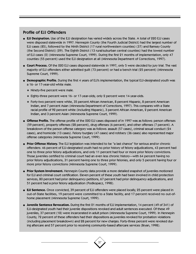#### Profile of EJJ Offenders

- ◆ **EJJ Designation.** Use of the EJJ designation has varied widely across the State. A total of 220 EJJ cases were disposed statewide in 1997. Hennepin County (the Fourth Judicial District) had the largest number of EJJ cases (85), followed by the Ninth District (17 rural northwestern counties) (37) and Ramsey County (the Second District) (29). The Eighth District (13 rural/suburban central counties) had the lowest number of EJJ cases (2) (Minnesota Supreme Court, 1999). During the first 21 months of implementation, only 47 counties (55 percent) used the EJJ designation at all (Minnesota Department of Corrections, 1997).
- ◆ **Court Process.** Of the 220 EJJ cases disposed statewide in 1997, only 5 were decided by jury trial. The vast majority of EJJ offenders either admitted guilt (73 percent) or had a bench trial (25 percent) (Minnesota Supreme Court, 1999).
- ◆ **Demographic Profile.** During the first 4 years of EJJ's implementation, the typical EJJ-designated youth was a 16- or 17-year-old white male.
	- ❖ Ninety-five percent were male.
	- ❖ Eighty-three percent were 16- or 17-year-olds; only 2 percent were 14-year-olds.
	- ❖ Forty-two percent were white, 35 percent African American, 8 percent Hispanic, 8 percent American Indian, and 7 percent Asian (Minnesota Department of Corrections, 1997). This compares with a State racial profile of 92 percent white (including Hispanic), 3 percent African American, 2 percent American Indian, and 3 percent Asian (Minnesota Supreme Court, 1999).
- ◆ **Offense Profile.** The offense profile of the 220 EJJ cases disposed of in 1997 was as follows: person offenses (59 percent), property offenses (28 percent), drug offenses (6 percent), and other offenses (7 percent). A breakdown of the person offense category was as follows: assault (57 cases), criminal sexual conduct (24 cases), and homicide (13 cases). Felony burglary (47 cases) and robbery (36 cases) also represented major offense categories (Minnesota Supreme Court, 1999).
- ◆ **Prior Offense History.** The EJJ legislation was intended to be "a last chance" for serious and/or chronic offenders: 46 percent of EJJ-designated youth had no prior history of felony adjudications, 43 percent had one to three prior felony adjudications, and only 11 percent had four or more prior felony convictions. Those juveniles certified to criminal court had an even less chronic history—with 64 percent having no prior felony adjudications, 31 percent having one to three prior felonies, and only 5 percent having four or more prior felony convictions (Minnesota Supreme Court, 1999).
- ◆ **Prior System Involvement.** Hennepin County data provide a more detailed snapshot of juveniles motioned for EJJ and criminal court certification. Eleven percent of these youth had been involved in child protection services, 80 percent had prior delinquency petitions, 67 percent had prior delinquency adjudications, and 51 percent had a prior felony adjudication (Podkopacz, 1998).
- ◆ **EJJ Sentence.** Once convicted, 39 percent of EJJ offenders were placed locally, 25 percent were placed in out-of-State facilities, 19 percent were committed to a State facility, and 17 percent received no out-ofhome placement (Minnesota Supreme Court, 1999).
- ◆ **Juvenile Sentence Revocation.** During the first 21 months of EJJ implementation, 14 percent (49 of 341) of EJJ-designated youth had their juvenile dispositions revoked and adult sentences executed. Of these 49 juveniles, 37 percent (18) were incarcerated in adult prison (Minnesota Supreme Court, 1999). In Hennepin County, 72 percent of these offenders had their dispositions as juveniles revoked for probation violations (including placement breakdown) and 28 percent for new charges. Forty-three percent were revoked during aftercare and 57 percent prior to receiving community-based aftercare services (Bryan, 1998).

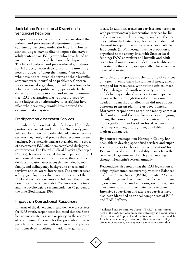#### Judicial and Prosecutorial Discretion in Sentencing Decisions

Respondents also had serious concerns about the judicial and prosecutorial discretion allowed in sentencing decisions under the EJJ law. For instance, judges may decline to impose the stayed adult sentence on EJJ youth who have failed to meet the conditions of their juvenile disposition. The lack of judicial and prosecutorial guidelines for EJJ designation decisions and the unwillingness of judges to "drop the hammer" on youth who have not followed the terms of their juvenile sentence were identified as problems. Concern was also raised regarding judicial discretion as to what constitutes public safety, particularly the differing standards in rural and urban communities. EJJ designation was reportedly used by some judges as an alternative to certifying juveniles who previously would have entered the criminal justice system.

#### Predisposition Assessment Services

A number of respondents identified a need for predisposition assessments under the law (to identify youth who can be successfully rehabilitated, determine what services they need, and predict their response to sentencing). No statewide data are available on the types of assessments EJJ offenders completed during the court process. The Fourth Judicial District (Hennepin County), however, reported that in 65 percent of EJJ and criminal court certification cases, the court ordered a probation assessment that included school, family, and delinquency background checks and interviews and collateral interviews. The court ordered a full psychological evaluation in 61 percent of the EJJ and certification cases and followed the probation officer's recommendation 73 percent of the time and the psychologist's recommendation 76 percent of the time (Podkopacz, 1998).

### Impact on Correctional Resources

In terms of the development and delivery of services for EJJ youth, respondents indicated that the State has not articulated a vision or policy on the appropriate continuum of services for this population. Instead, jurisdictions have been left to answer this question for themselves, resulting in wide divergence by

locale. In addition, treatment services must compete with prevention/early intervention services for limited resources—the latter long having been the priority within the State. Every focus group identified the need to expand the range of services available to EJJ youth. (In Minnesota, juvenile probation is organized at the county level with State or local funding; DOC administers all juvenile and adult correctional institutions; and detention facilities are operated by the county or regionally where counties have collaborated.)

According to respondents, the funding of services on a per-juvenile basis has left rural areas, already strapped for resources, without the critical mass of EJJ-designated youth necessary to develop and deliver specialized services. Some expressed concern that, although the subsidy was much needed, the method of allocation did not support coherent program planning or development. Moreover, respondents noted, the money comes at the front end, and the cost for services is ongoing during the course of a juvenile's sentence. The most significant need is often for aftercare and followup services, and by then, available funding is often exhausted.

By contrast, metropolitan Hennepin County has been able to develop specialized services and supervision resources (such as intensive probation) for EJJ-sentenced youth. This ability results from the relatively large number of such youth moving through Hennepin's system annually.

Respondents also noted that the EJJ legislation is being implemented concurrently with the Balanced and Restorative Justice (BARJ) initiative.<sup>6</sup> Consequently, program development has focused primarily on community-based sanctions, restitution, case management, and skill/competency development. Intensive supervision and aftercare services have also been identified as critical components of EJJ and BARJ efforts.

<sup>6</sup> Balanced and Restorative Justice (BARJ), a core component of the OJJDP Comprehensive Strategy, is a combination of the Balanced Approach and the Restorative Justice models. It includes community protection, offender accountability, offender competency development, and victim restoration.

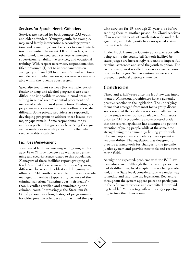#### Services for Special Needs Offenders

Services are needed for both younger EJJ youth and older offenders. Younger youth, for example, may need family interventions, secondary prevention, and community-based services to avoid out-oftown residential placement. Older offenders, on the other hand, may need such services as intensive supervision, rehabilitative services, and vocational training. With respect to services, respondents identified pressures (1) not to impose sanctions on younger youth and (2) to impose criminal sanctions on older youth when necessary services are unavailable within the juvenile court system.

Specialty treatment services (for example, sex offender or drug and alcohol programs) are often difficult or impossible to secure in rural areas, resulting in out-of-area residential placement and increased costs for rural jurisdictions. Finding appropriate interventions for female offenders is also difficult. Some private providers are reportedly developing programs to address these issues, but major gaps remain. Some respondents, for example, reported that girls may be serving their juvenile sentences in adult prison if it is the only secure facility available.

#### Facilities Management

Residential facilities working with young adults ages 18 to 21 face licensure as well as programming and security issues related to this population. Managers of these facilities report grouping offenders so that there is no more than a 4-year age difference between the oldest and the youngest offender. EJJ youth are reported to be more easily managed in facilities (apparently because of the criminal sanctions "hanging over their heads") than juveniles certified and committed by the criminal court. Interestingly, the State-run St. Cloud prison has a long history of programming for older juvenile offenders and has filled the gap

with services for 19- through 21-year-olds before sending them to another prison. St. Cloud receives all new commitments of youth statewide under the age of 20, and EJJ youth have no special status within the facility.

Under EJJ, Hennepin County youth are reportedly being sent to the county jail (a work facility) because judges are increasingly reluctant to impose full criminal sentences and send the youth to prison. The "workhouse," as it is called, is seen as a viable compromise by judges. Similar sentiments were expressed in judicial districts statewide.

## Conclusion

Three-and-a-half years after the EJJ law was implemented, Minnesota practitioners have a generally positive reaction to the legislation. The underlying theme that emerged from most focus group discussions was that the legislation is a sound alternative to the single waiver option available in Minnesota prior to EJJ. Respondents also expressed pride that the reform legislation has attempted to get the attention of young people while at the same time strengthening the community, linking youth with jobs, and supporting competency development and accountability. The legislation was designed to provide a framework for changes to the juvenile justice system and provide new tools and resources to the field.

As might be expected, problems with the EJJ law have also arisen. Although the transition period has had its difficulties, local adaptations are being made and, at the State level, considerations are under way to modify and fine-tune the legislation. Key actors throughout the system appear poised to participate in the refinement process and committed to providing troubled Minnesota youth with every opportunity to turn their lives around.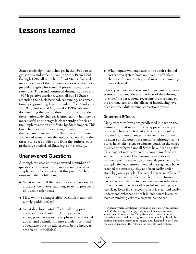## **Lessons Learned**

States made significant changes in the 1990's to target serious and violent juvenile crime. From 1992 through 1995, all but a handful of States changed major portions of their juvenile codes to make more juveniles eligible for criminal prosecution and/or sanctions. The trend continued during the 1996 and 1997 legislative sessions, when all but 11 States amended their jurisdictional, sentencing, or correctional programming laws to similar effect (Torbet et al., 1996; Torbet and Szymanski, 1998). Although documenting the overall direction and magnitude of these nationwide changes is important, what may be more useful at this stage is closer study of their actual implementation and State-by-State impact. This final chapter explores some significant questions that remain unanswered by the research presented above and summarizes the lessons learned from the three State case studies and from the authors' comprehensive analysis of State legislative activity.

### Unanswered Questions

Although the case studies answered a number of questions, they raised even more—many of which simply cannot be answered at this point. Such questions include the following:

- ◆ What impact will the recent reforms have on the attitudes, behaviors, and long-term life prospects of juvenile offenders?
- ◆ How will the changes affect recidivism and, ultimately, public safety?
- ◆ What developmental effects will long prison stays, extended isolation from prosocial influences, possible exposure to physical and sexual abuse, and assimilation into a violent criminal subculture have on adolescents being incarcerated in adult facilities?

◆ What impact will exposure to the adult criminal corrections system have on juvenile offenders' chances of being reintegrated into the community once released?

These questions revolve around three general considerations: the actual deterrent effects of the reforms, juveniles' misperceptions regarding the workings of the criminal law, and the effects of introducing juveniles into the adult criminal corrections system.

#### Deterrent Effects

Many recent reforms are predicated in part on the assumption that more punitive approaches to youth crime will have a deterrent effect. The juveniles targeted by these changes, however, may not even be aware of the potential sanctions. Although some States have taken steps to educate youth on the consequences of reforms,<sup>7</sup> not all States have been so active. This may not matter when the changes involved are simple. In the case of Wisconsin's straightforward redrawing of the upper age of juvenile jurisdiction, for example, the legislature's intended message may have reached the streets quickly and been easily understood by young people. The actual deterrent effects of more intricate and subtle juvenile justice reforms, particularly in relation to first-time serious offenders or complicated scenarios of blended sentencing, are less clear. Even if a stringent reform is clear and easily understood, whether or not it in fact deters juveniles from committing crimes also remains unclear.

<sup>7</sup> Arizona, which significantly expanded its transfer provisions in 1996 (following voter approval of a State constitutional amendment known as the "Stop Juvenile Crime Initiative"), thereafter embarked on an aggressive multimedia public information campaign targeting teenagers and designed to spell out the consequences of the reforms for juvenile lawbreakers.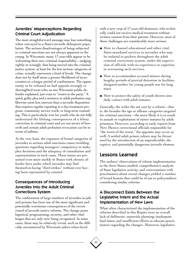#### Juveniles' Misperceptions Regarding Criminal Court Adjudication

The most straightforward message may lose something when conveyed to a State's juvenile delinquent population. The serious disadvantages of being subjected to criminal sanctions are not always apparent to the young. In Wisconsin, many 17-year-olds appear to be welcoming their new criminal responsibility—judging, rightly or wrongly, that being moved into the criminal justice system, at least for the less serious categories of crime, actually represents a kind of break. The change does not by itself mean a greater likelihood of incarceration or a longer period of confinement. The opportunity to be released on bail appeals strongly to shortsighted teens who, as one Wisconsin public defender explained, just want to "return to the party." A quick guilty plea and a sentence to adult probation may likewise seem less onerous than a juvenile disposition that requires regular reporting to a day-treatment program, community service work, or long-term counseling. This is particularly true for youth who do not fully understand the lifelong consequences of a felony conviction in criminal court and are not aware of how swift and certain adult probation revocation can be in terms of jailtime.

At the very least, the exposure of broad categories of juveniles to serious adult sanctions raises troubling questions regarding teenagers' competency to make plea decisions and the adequacy of consultation and representation in such cases. These issues are presented even more starkly in States with chronic offender laws under which juveniles may find themselves facing "third strikes" without ever having been represented by counsel.

#### Consequences of Introducing Juveniles Into the Adult Criminal Corrections System

The confinement of large numbers of juveniles in jails and prisons has been one of the most significant and potentially worrisome consequences of the recent round of juvenile justice reforms. The change poses logistical, programming, security, and other challenges that are only now being recognized. In some cases, these may be relatively trivial, such as the difficulty encountered by Wisconsin jailers when faced

with a new crop of 17-year-old detainees, who technically could not receive medical treatment without written consent from their parents. However, most of these challenges are considerably more serious:

- ◆ How to channel educational and other vital, State-mandated services to juveniles who may be isolated in pockets throughout the adult criminal corrections system, under the supervision of officials with no experience or expertise in overseeing such services.
- ◆ How to accommodate accused minors during lengthy periods of pretrial detention in facilities designed neither for young people nor for long stays.
- ◆ How to protect the safety of youth thrown into daily contact with adult inmates.

Generally, the wider the net cast by a reform—that is, the broader the age or offense categories targeted for criminal sanctions—the more likely it is to result in assault or exploitation of minor inmates by adult prisoners. However, according to early reports from New Mexico correctional officials responsible for "the worst of the worst," the opposite may occur as well: A settled adult prison culture may be threatened by the introduction of an unpredictable, disruptive, and potentially dangerous juvenile element.

## Lessons Learned

42

The authors' observations of reform implementation in the three States studied, comprehensive analysis of State legislative activity, and conversations with practitioners about recent changes yielded a number of broad lessons that could be of use to policymakers considering similar reforms.

#### A Disconnect Exists Between the Legislative Intent and the Actual Implementation of New Laws

What often characterized the implementation of the reforms described in this Report were an overall lack of deliberate, statewide planning; inadequate lead times; and insufficient efforts to educate practitioners regarding the changes. Moreover, legislative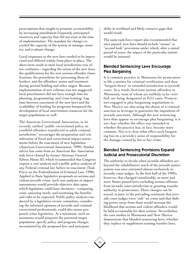prescriptions that sought to promote accountability by increasing punishment frequently anticipated resources and capacity that did not exist at the time of implementation. The mandate for change exceeded the capacity of the system to manage, monitor, and evaluate change.

Local responses to the new laws tended to be improvised and differed widely from place to place. The short-term result in most local jurisdictions was often confusion—regarding the intent of the new laws, the qualifications for the new serious-offender classifications, the procedures for processing these offenders, and the offenders' status and treatment during pretrial holding and other stages. Because implementation of new reforms was not staggered, local practitioners did not have enough time for planning, programming, and cross-training. Lag time between enactment of the new laws and the availability of funding for programs hampered the development of local intervention resources for the target populations as well.

The American Correctional Association, in its recently ratified "public correctional policy on youthful offenders transferred to adult criminal jurisdiction," encourages the preparation and consideration of fiscal and correctional impact assessments before the enactment of new legislation (American Correctional Association, 1999). Similar advice has come from an American Bar Association task force chaired by former Attorney General Edwin Meese III, which recommended that Congress require a cost analysis and a public policy analysis of any Federal criminal law before its enactment (Task Force on the Federalization of Criminal Law, 1998). Applied to State legislative proposals on serious and violent juvenile crime, such cost analyses or impact assessments would provide objective data upon which legislators could base decisions—comparing costs, assessing needs, and examining the benefits and risks to be expected. Public policy analysis conducted by a legislative review committee, considering the informed opinions of juvenile and criminal correctional professionals, could also assess proposed crime legislation. At a minimum, such assessments would pinpoint the potential target population, specify policy and program changes necessitated by the proposed law, and anticipate

shifts in workload and likely resource gaps that would result.

The same task force report also recommended that once passed, new laws should include "sunset" or "second look" provisions under which, after a stated period of years, the impact of the particular statute would be assessed.

#### Blended Sentencing Laws Encourage Plea Bargaining

It is common practice in Minnesota for prosecutors to file a motion for criminal certification and then "bargain down" to extended jurisdiction in juvenile court. As a result, first-time serious offenders in Minnesota, most of whom are unlikely to be certified, are being designated as EJJ cases. Prosecutors engaged in plea bargaining negotiations in New Mexico are also using the threat of a criminal sanction as leverage to guarantee the imposition of juvenile sanctions. Although the new sentencing laws thus appear to encourage plea bargaining, it is not clear whether the effect was intended or whether the practice has, in fact, become more common. Nor is it clear what effect such bargaining has on a juvenile's sense of responsibility for the damage caused by his or her crime.

#### Blended Sentencing Provisions Expand Judicial and Prosecutorial Discretion

The authority to decide when juvenile offenders are beyond the rehabilitative reach of the juvenile justice system was once entrusted almost exclusively to juvenile court judges. In the first half of the 1990's, however, that changed considerably, as more and more States passed laws excluding serious offenses from juvenile court jurisdiction or granting transfer authority to prosecutors. These changes can be traced, in part, to the prevailing sentiment that juvenile court judges were "soft" on crime and that shifting power away from them would increase the likelihood that serious and violent offenders would be held accountable for their actions. Nevertheless, the case studies in Minnesota and New Mexico demonstrate that blended sentencing laws, whether they replace or supplement existing transfer laws,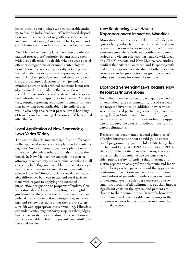leave juvenile court judges with considerable authority to fashion individualized, offender-based dispositions and to consider not only offense seriousness and community safety but also the background and court history of the individual juveniles before them.

New blended sentencing laws have also greatly expanded prosecutors' authority by entrusting them with broad discretion to decide when to seek special offender designations or criminal sentencing options. These decisions are generally not subject to formal guidelines or systematic reporting requirements. Unlike a judge's waiver and sentencing decision, a prosecutor's decision to try a juvenile in criminal court or seek criminal sanctions is not usually required to be made on the basis of a written record or in accordance with criteria that are specified beforehand and applicable to all cases. Mandatory, routine reporting requirements similar to those that have long been applicable to juvenile courts would also help ensure that prosecutorial handling of transfer and sentencing decisions could be studied after the fact.

#### Local Application of New Sentencing Laws Varies Widely

The case studies documented significant differences in the way local jurisdictions apply blended sentencing laws. Some counties appear to apply the new rules sparingly, while others apply them across the board. In New Mexico, for example, the district attorney in one county seeks criminal sanctions in all cases in which they are available. District attorneys in another county seek criminal sanctions only for a selected few. In Minnesota, data revealed considerable differences between urban and rural jurisdictions with regard to applying the extended jurisdiction designation to property offenders. Consideration should be given to setting meaningful guidelines for the exercise of both prosecutorial and judicial discretion in making designation, sentencing, and review decisions under the reforms to ensure fair and appropriate decisionmaking. Likewise, expanded sentencing authority requires that judges have an accurate understanding of the sanctions and services available in both the juvenile and adult correctional system.

#### New Sentencing Laws Have a Disproportionate Impact on Minorities

Minorities are overrepresented in the offender categories being subjected to stricter transfer and sentencing provisions—for example, youth who have extensive juvenile records and youth who commit serious and violent offenses, particularly with weapons. The Minnesota and New Mexico case studies confirm that African American and Hispanic youth make up a disproportionate share of offenders who receive extended jurisdiction designations or are subject to motions for criminal sanctions.

#### Expanded Sentencing Laws Require New Resources/Interventions

Virtually all local case study participants called for an expanded range of community-based services for targeted juveniles. In addition, new services were considered particularly crucial for juveniles being held in State juvenile facilities for longer periods as a result of reforms extending the upper age of the juvenile court's jurisdiction over adjudicated delinquents.

Research has documented several principles of effective intervention that should guide correctional programming (see Bilchik, 1998; Kurlychek, Torbet, and Bozynski, 1999; Levrant et al., 1999). States must be strategic in articulating visions and plans for their juvenile justice systems that consider public safety, offender rehabilitation, and victim reparation as significant elements and incorporate best practice principles and the appropriate continuum of sanctions and services for the targeted subset of juvenile offenders. Serious, violent, and chronic juvenile offenders represent a very small proportion of all delinquents, but they impose significant costs on the system and present real threats to their communities. Research, however, has documented considerable cost savings in the long term when offenders are diverted from their criminal careers.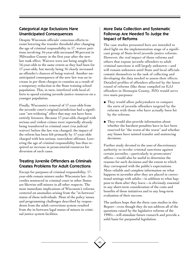#### Categorical Age Exclusions Have Unanticipated Consequences

Despite Wisconsin officials' conscious efforts to resist lowering the transfer threshold after changing the age of criminal responsibility to 17, waiver petitions involving 16-year-olds increased 90 percent in Milwaukee County in the first year after the new law took effect. Waivers were not being sought for 16-year-olds to the same extent as they had been for 17-year-olds, but merely being 16 clearly increased an offender's chances of being waived. Another unanticipated consequence of the new law was an increase in per diem charges to counties as a result of a temporary reduction in the State training school population. This, in turn, interfered with local efforts to spend existing juvenile justice resources on a younger population.

Finally, Wisconsin's removal of 17-year-olds from the juvenile court's original jurisdiction had a significant "net-widening" effect that may not have been entirely foreseen. Because 17-year-olds charged with serious and violent crimes were reportedly already being transferred to criminal court (via judicial waiver) before the law was changed, the impact of the reform has been felt primarily by 17-year-olds charged with less serious, nonviolent offenses. Lowering the age of criminal responsibility has thus required an increase in prosecutorial resources for diversion of such cases.

#### Treating Juvenile Offenders as Criminals Creates Problems for Adult Corrections

Except for purposes of criminal responsibility, 17 year-olds remain minors under Wisconsin law. Juveniles sentenced in criminal court in other States are likewise still minors in all other respects. The most immediate implications of Wisconsin's reforms centered on anomalies arising from the "in-between" status of these individuals. Most of the policy issues and programming challenges described by respondents from the adult corrections system resulted from the in-between legal status of minors in criminal justice system facilities.

#### More Data Collection and Systematic Followup Are Needed To Judge the Impact of Reforms

The case studies presented here are intended to shed light on the implementation stage of a significant group of State-level juvenile justice reforms. However, the real impact of those reforms and others that expose juvenile offenders to adult criminal sanctions is still largely unknown—and will remain unknown until State and local officials commit themselves to the task of collecting and developing the data needed to assess their effects. Detailed profiles of offenders affected by the latest round of reforms (like those compiled on EJJ offenders in Hennepin County, MN) would serve two main purposes:

- ◆ They would allow policymakers to compare the sorts of juvenile offenders targeted by the reforms with those who have actually been hit by the reforms.
- ◆ They would also provide information about whether the harshest penalties have in fact been reserved for "the worst of the worst" and whether any biases have tainted transfer and sentencing decisions.

Further study devoted to the uses of discretionary authority to invoke criminal sanctions against certain juveniles—particularly in prosecutors' offices—would also be useful to determine the reasons for such decisions and the extent to which they correspond with the public's expectations. More reliable and complete information on what happens to juveniles after they are placed in correctional settings with adults—in addition to what happens to them after they leave—is obviously essential to any short-term consideration of the costs and benefits of these initiatives and to any long-term evaluation of their success.

The authors hope that the three case studies in this Report—even though they do not address all of the questions raised by the legislative reforms of the 1990's—will stimulate future research and provide a solid basis for purposeful legislation.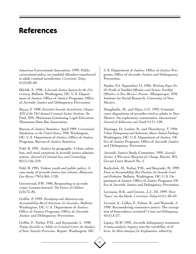## **References**

American Correctional Association. 1999. Public correctional policy on youthful offenders transferred to adult criminal jurisdiction. *Corrections Today* 61(2):82–84.

Bilchik, S. 1998. *A Juvenile Justice System for the 21st Century*. Bulletin. Washington, DC: U.S. Department of Justice, Office of Justice Programs, Office of Juvenile Justice and Delinquency Prevention.

Bryan, F. 1998. *Extended Juvenile Jurisdiction, Chapter XIX of the 33rd Annual Criminal Justice Institute*. St. Paul, MN: Minnesota Continuing Legal Education, Minnesota State Bar Association.

Bureau of Justice Statistics. April 1999. *Correctional Populations in the United States, 1996.* Washington, DC: U.S. Department of Justice, Office of Justice Programs, Bureau of Justice Statistics.

Feld, B. 1991. Justice by geography: Urban, suburban, and rural variations in juvenile justice administration. *Journal of Criminal Law and Criminology* 82(1):156–210.

Feld, B. 1995. Violent youth and public policy: A case study of juvenile justice law reform. *Minnesota Law Review* 79(5):965–1128.

Greenwood, P.W. 1996. Responding to juvenile crime: Lessons learned. *The Future of Children*  $6(3):75-85.$ 

Griffin, P. 1999. *Developing and Administering Accountability-Based Sanctions for Juveniles*. Bulletin. Washington, DC: U.S. Department of Justice, Office of Justice Programs, Office of Juvenile Justice and Delinquency Prevention.

Griffin, P., Torbet, P.M., and Szymanski, L. 1998. *Trying Juveniles as Adults in Criminal Court: An Analysis of State Transfer Provisions*. Report. Washington, DC:

U.S. Department of Justice, Office of Justice Programs, Office of Juvenile Justice and Delinquency Prevention.

Hanke, P.J. September 13, 1996. *Working Paper No. 20: Profile of Youthful Offenders and Serious Youthful Offenders in New Mexico's Prisons.* Albuquerque, NM: Institute for Social Research, University of New Mexico.

Houghtalin, M., and Mays, L.G. 1993. Criminal court dispositions of juveniles tried as adults in New Mexico: An exploratory examination. *International Journal of Adolescence and Youth* 4:111–128.

Huizinga, D., Loeber, R., and Thornberry, T. 1994. *Urban Delinquency and Substance Abuse: Initial Findings*. Washington, DC: U.S. Department of Justice, Office of Justice Programs, Office of Juvenile Justice and Delinquency Prevention.

Juvenile Justice Study Committee. 1995. *Juvenile Justice: A Wisconsin Blueprint for Change.* Racine, WI: Circuit Court Branch No. 5.

Kurlychek, M., Torbet, P.M., and Bozynski, M. 1999. *Focus on Accountability: Best Practices for Juvenile Court and Probation*. Bulletin. Washington, DC: U.S. Department of Justice, Office of Justice Programs, Office of Juvenile Justice and Delinquency Prevention.

Levinson, R.B., and Greene, J.J., III. 1999. New "boys" on the block. *Corrections Today* 61(1): 60–63.

Levrant, S., Cullen, F., Fulton, B., and Wozniak, J. 1999. Reconsidering restorative justice: The corruption of benevolence revisited? *Crime and Delinquency*  $45(1):3-27.$ 

Lipsey, M.W. 1992. Juvenile delinquency treatment: A meta-analytic inquiry into the variability of effects. In *Meta-Analysis for Explanation*, edited by

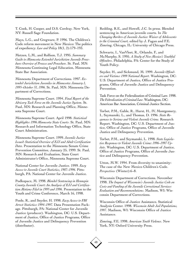T. Cook, H. Cooper, and D.S. Cordray. New York, NY: Russell Sage Foundation.

Mays, L.G., and Gregware, P. 1996. The Children's Code reform movement in New Mexico: The politics of expediency. *Law and Policy* 18(1, 2):179–193.

Metzen, L.M., and Rolfson, T.J. 1995. *Summary Guide to Minnesota Extended Jurisdiction Juvenile Procedure: Overview of Process and Procedure*. St. Paul, MN: Minnesota Continuing Legal Education, Minnesota State Bar Association.

Minnesota Department of Corrections. 1997. *Extended Jurisdiction Juveniles in Minnesota: January 1, 1995–October 31, 1996*. St. Paul, MN: Minnesota Department of Corrections.

Minnesota Supreme Court. 1994. *Final Report of the Advisory Task Force on the Juvenile Justice System*. St. Paul, MN: Research and Planning Office, Minnesota Supreme Court.

Minnesota Supreme Court. April 1998. *Statistical Highlights: 1996 Minnesota State Courts*. St. Paul, MN: Research and Information Technology Office, State Court Administration.

Minnesota Supreme Court. 1999*. Juvenile Justice Issued: Statistical Overview of EJJ and Adult Certification Data*. Presentation to the Minnesota Senate Crime Prevention Committee, January 25, 1999. St. Paul, MN: Research and Evaluation, State Court Administrator's Office, Minnesota Supreme Court.

National Center for Juvenile Justice. 1999. *Easy Access to Juvenile Court Statistics, 1987–1996*. Pittsburgh, PA: National Center for Juvenile Justice.

Podkopacz, M. 1998. *Blended Sentencing in Hennepin County Juvenile Court: An Analysis of EJJ and Certification Motions Filed in 1995 and 1996*. Presentation to the Youth and Crime Conference, March 16, 1998.

Poole, R., and Snyder, H. 1998. *Easy Access to FBI Arrest Statistics: 1994–1997.* Data Presentation Package. Pittsburgh, PA: National Center for Juvenile Justice (producer). Washington, DC: U.S. Department of Justice, Office of Justice Programs, Office of Juvenile Justice and Delinquency Prevention (distributor).

Redding, R.E., and Howell, J.C. In press. Blended sentencing in American juvenile courts. In *The Changing Borders of Juvenile Justice: Waiver of Adolescents to the Criminal Court,* edited by J. Fagan and F.E. Zimring. Chicago, IL: University of Chicago Press.

Schwartz, I., VanVleet, R., Orlando, F., and McMurphy, S. 1995. *A Study of New Mexico's Youthful Offenders*. Philadelphia, PA: Center for the Study of Youth Policy.

Snyder, H., and Sickmund, M. 1999. *Juvenile Offenders and Victims: 1999 National Report*. Washington, DC: U.S. Department of Justice, Office of Justice Programs, Office of Juvenile Justice and Delinquency Prevention.

Task Force on the Federalization of Criminal Law. 1998. *The Federalization of Criminal Law*. Washington, DC: American Bar Association, Criminal Justice Section.

Torbet, P.M., Gable, R., Hurst, H., IV, Montgomery, I., Szymanski, L., and Thomas, D. 1996. *State Responses to Serious and Violent Juvenile Crime.* Research Report. Washington, DC: U.S. Department of Justice, Office of Justice Programs, Office of Juvenile Justice and Delinquency Prevention.

Torbet, P.M., and Szymanski, L. 1998*. State Legislative Responses to Violent Juvenile Crime: 1996–1997 Update*. Washington, DC: U.S. Department of Justice, Office of Justice Programs, Office of Juvenile Justice and Delinquency Prevention.

Utton, M.W. 1994. From diversity to unanimity: The case of the New Mexico Children's Code. *Perspectives* (Winter):6–8.

Wisconsin Department of Corrections. November 1998. *The Impact of Wisconsin's Juvenile Justice Code on Costs and Funding of the Juvenile Correctional Services: Evaluation and Recommendations.* Madison, WI: Wisconsin Department of Corrections.

Wisconsin Office of Justice Assistance, Statistical Analysis Center. 1998. *Wisconsin Adult Jail Populations, 1997*. Madison, WI: Wisconsin Office of Justice Assistance.

Zimring, F.E. 1998. *American Youth Violence*. New York, NY: Oxford University Press.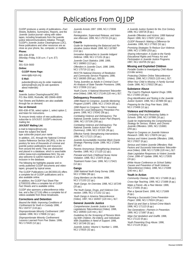## Publications From OJJDP

OJJDP produces a variety of publications—Fact Sheets, Bulletins, Summaries, Reports, and the Juvenile Justice journal—along with videotapes, including broadcasts from the juvenile justice telecommunications initiative. Through OJJDP's Juvenile Justice Clearinghouse (JJC), these publications and other resources are as close as your phone, fax, computer, or mailbox.

#### **Phone:**

800–638–8736

(Monday–Friday, 8:30 a.m.–7 p.m. ET) **Fax:**

#### 301–519–5600

**Online:**

#### **OJJDP Home Page:**

www.ojjdp.ncjrs.org

#### **E-Mail:**

puborder@ncjrs.org (to order materials) askncjrs@ncjrs.org (to ask questions about materials)

#### **Mail:**

Juvenile Justice Clearinghouse/NCJRS P.O. Box 6000, Rockville, MD 20849–6000

Fact Sheets and Bulletins are also available through fax on demand.

#### **Fax on Demand:**

800–638–8736, select option 1, select option 2, and listen for instructions.

To ensure timely notice of new publications, subscribe to JUVJUST, OJJDP's electronic mailing list.

#### **JUVJUST Mailing List:**

e-mail to listproc@ncjrs.org leave the subject line blank type subscribe juvjust your name

In addition, JJC, through the National Criminal Justice Reference Service (NCJRS), is the repository for tens of thousands of criminal and juvenile justice publications and resources from around the world. They are abstracted and placed in a database, which is searchable online (www.ncjrs.org/database.htm). You are also welcome to submit materials to JJC for inclusion in the database.

The following list highlights popular and recently published OJJDP documents and videotapes, grouped by topical areas.

The OJJDP Publications List (BC000115) offers a complete list of OJJDP publications and is also available online.

In addition, the OJJDP Fact Sheet Flier (LT000333) offers a complete list of OJJDP Fact Sheets and is available online.

OJJDP also sponsors a teleconference initiative, and a flier (LT116) offers a complete list of videos available from these broadcasts.

#### **Corrections and Detention**

Beyond the Walls: Improving Conditions of Confinement for Youth in Custody. 1998, NCJ 164727 (116 pp.).

Disproportionate Minority Confinement: 1997 Update. 1998, NCJ 170606 (12 pp.).

Disproportionate Minority Confinement: Lessons Learned From Five States. 1998, NCJ 173420 (12 pp.).

Juvenile Arrests 1997. 1999, NCJ 173938 (12 pp.).

Reintegration, Supervised Release, and Intensive Aftercare. 1999, NCJ 175715 (24 pp.).

#### **Courts**

Guide for Implementing the Balanced and Restorative Justice Model. 1998. NCJ 167887 (112 pp.).

Innovative Approaches to Juvenile Indigent Defense. 1998, NCJ 171151 (8 pp.).

Juvenile Court Statistics 1996. 1999, NCJ 168963 (113 pp.).

Offenders in Juvenile Court, 1996. 1999, NCJ 175719 (12 pp.).

RESTTA National Directory of Restitution and Community Service Programs. 1998, NCJ 166365 (500 pp.), \$33.50.

Trying Juveniles as Adults in Criminal Court: An Analysis of State Transfer Provisions. 1998, NCJ 172836 (112 pp.).

Youth Courts: A National Movement Teleconference (Video). 1998, NCJ 171149 (120 min.), \$17.

#### **Delinquency Prevention**

1998 Report to Congress: Juvenile Mentoring Program (JUMP). 1999, NCJ 173424 (65 pp.). 1998 Report to Congress: Title V Incentive Grants for Local Delinquency Prevention Programs. 1999, NCJ 176342 (58 pp.).

Combating Violence and Delinquency: The National Juvenile Justice Action Plan (Report). 1996, NCJ 157106 (200 pp.).

Combating Violence and Delinquency: The National Juvenile Justice Action Plan (Summary). 1996, NCJ 157105 (36 pp.).

Effective Family Strengthening Interventions. 1998, NCJ 171121 (16 pp.).

Juvenile Accountability Incentive Block Grants Strategic Planning Guide. 1999, NCJ 172846 (62 pp.).

Parents Anonymous: Strengthening America's Families. 1999, NCJ 171120 (12 pp.).

Prenatal and Early Childhood Nurse Home Visitation. 1998, NCJ 172875 (8 pp.). Treatment Foster Care. 1999, NCJ 173421

(12 pp.).

#### **Gangs**

1996 National Youth Gang Survey. 1999, NCJ 173964 (96 pp.).

Gang Members on the Move. 1998, NCJ 171153 (12 pp.).

Youth Gangs: An Overview. 1998, NCJ 167249 (20 pp.).

The Youth Gangs, Drugs, and Violence Connection. 1999, NCJ 171152 (12 pp.).

Youth Gangs in America Teleconference (Video). 1997, NCJ 164937 (120 min.), \$17.

#### **General Juvenile Justice**

Comprehensive Juvenile Justice in State Legislatures Teleconference (Video). 1998, NCJ 169593 (120 min.), \$17.

Guidelines for the Screening of Persons Working With Children, the Elderly, and Individuals With Disabilities in Need of Support. 1998, NCJ 167248 (52 pp.).

Juvenile Justice, Volume V, Number 1. 1998, NCJ 170025 (32 pp.).

A Juvenile Justice System for the 21st Century. 1998, NCJ 169726 (8 pp.).

Juvenile Offenders and Victims: 1999 National Report. 1999, NCJ 178257 (232 pp.).

OJJDP Research: Making a Difference for Juveniles. 1999, NCJ 177602 (52 pp.). Promising Strategies To Reduce Gun Violence. 1999, NCJ 173950 (253 pp.).

Sharing Information: A Guide to the Family Educational Rights and Privacy Act and Participation in Juvenile Justice Programs. 1997, NCJ 163705 (52 pp.).

#### **Missing and Exploited Children**

Portable Guides to Investigating Child Abuse (13-title series).

Protecting Children Online Teleconference (Video). 1998, NCJ 170023 (120 min.), \$17. When Your Child Is Missing: A Family Survival Guide. 1998, NCJ 170022 (96 pp.).

#### **Substance Abuse**

The Coach's Playbook Against Drugs. 1998, NCJ 173393 (20 pp.).

Drug Identification and Testing in the Juvenile Justice System. 1998, NCJ 167889 (92 pp.). Preparing for the Drug Free Years. 1999, NCJ 173408 (12 pp.).

#### **Violence and Victimization**

Combating Fear and Restoring Safety in Schools. 1998, NCJ 167888 (16 pp.). Guide for Implementing the Comprehensive Strategy for Serious, Violent, and Chronic Juvenile Offenders. 1995, NCJ 153681 (255 pp.).

Report to Congress on Juvenile Violence Research. 1999, NCJ 176976 (44 pp.) Serious and Violent Juvenile Offenders. 1998, NCJ 170027 (8 pp.).

Serious and Violent Juvenile Offenders: Risk Factors and Successful Interventions Teleconference (Video). 1998, NCJ 171286 (120 min.), \$17.

State Legislative Responses to Violent Juvenile Crime: 1996–97 Update. 1998, NCJ 172835 (16 pp.).

White House Conference on School Safety: Causes and Prevention of Youth Violence Teleconference (Video). 1998, NCJ 173399  $(240 \text{ min.})$  \$17.

#### **Youth in Action**

Community Cleanup. 1999, NCJ 171690 (6 pp.).

Cross-Age Teaching. 1999, NCJ 171688 (8 pp.).

Make a Friend—Be a Peer Mentor. 1999, NCJ 171691 (8 pp.).

Plan a Special Event. 1999, NCJ 171689 (8 pp.).

Planning a Successful Crime Prevention Project. 1998, NCJ 170024 (28 pp.).

Stand Up and Start a School Crime Watch. 1998, NCJ 171123 (8 pp.)

Two Generations—Partners in Prevention. 1999, NCJ 171687 (8 pp.).

Wipe Out Vandalism and Graffiti. 1998, NCJ 171122 (8 pp.).

Youth Preventing Drug Abuse. 1998, NCJ 171124 (8 pp.).